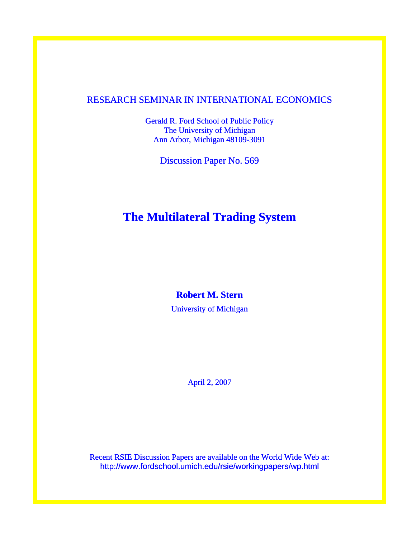## RESEARCH SEMINAR IN INTERNATIONAL ECONOMICS

Gerald R. Ford School of Public Policy The University of Michigan Ann Arbor, Michigan 48109-3091

Discussion Paper No. 569

# **The Multilateral Trading System**

# **Robert M. Stern**

University of Michigan

April 2, 2007

Recent RSIE Discussion Papers are available on the World Wide Web at: http://www.fordschool.umich.edu/rsie/workingpapers/wp.html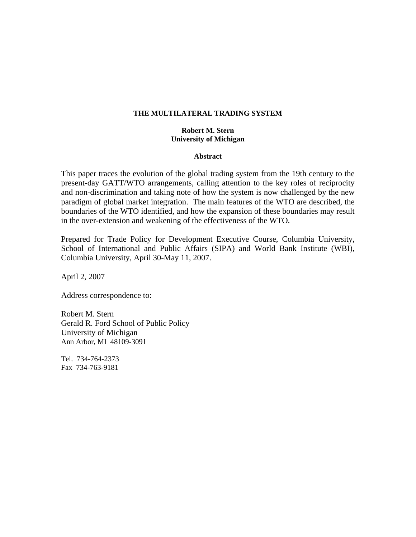## **THE MULTILATERAL TRADING SYSTEM**

## **Robert M. Stern University of Michigan**

## **Abstract**

This paper traces the evolution of the global trading system from the 19th century to the present-day GATT/WTO arrangements, calling attention to the key roles of reciprocity and non-discrimination and taking note of how the system is now challenged by the new paradigm of global market integration. The main features of the WTO are described, the boundaries of the WTO identified, and how the expansion of these boundaries may result in the over-extension and weakening of the effectiveness of the WTO.

Prepared for Trade Policy for Development Executive Course, Columbia University, School of International and Public Affairs (SIPA) and World Bank Institute (WBI), Columbia University, April 30-May 11, 2007.

April 2, 2007

Address correspondence to:

Robert M. Stern Gerald R. Ford School of Public Policy University of Michigan Ann Arbor, MI 48109-3091

Tel. 734-764-2373 Fax 734-763-9181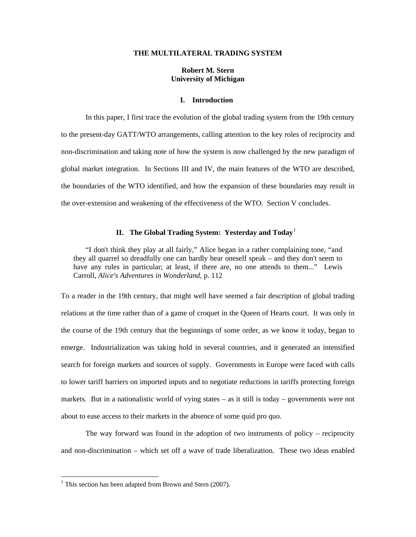#### **THE MULTILATERAL TRADING SYSTEM**

## **Robert M. Stern University of Michigan**

## **I. Introduction**

In this paper, I first trace the evolution of the global trading system from the 19th century to the present-day GATT/WTO arrangements, calling attention to the key roles of reciprocity and non-discrimination and taking note of how the system is now challenged by the new paradigm of global market integration. In Sections III and IV, the main features of the WTO are described, the boundaries of the WTO identified, and how the expansion of these boundaries may result in the over-extension and weakening of the effectiveness of the WTO. Section V concludes.

## **II. The Global Trading System: Yesterday and Today**[1](#page-2-0)

"I don't think they play at all fairly," Alice began in a rather complaining tone, "and they all quarrel so dreadfully one can hardly hear oneself speak – and they don't seem to have any rules in particular; at least, if there are, no one attends to them..." Lewis Carroll, *Alice's Adventures in Wonderland*, p. 112

To a reader in the 19th century, that might well have seemed a fair description of global trading relations at the time rather than of a game of croquet in the Queen of Hearts court. It was only in the course of the 19th century that the beginnings of some order, as we know it today, began to emerge. Industrialization was taking hold in several countries, and it generated an intensified search for foreign markets and sources of supply. Governments in Europe were faced with calls to lower tariff barriers on imported inputs and to negotiate reductions in tariffs protecting foreign markets. But in a nationalistic world of vying states – as it still is today – governments were not about to ease access to their markets in the absence of some quid pro quo.

The way forward was found in the adoption of two instruments of policy – reciprocity and non-discrimination – which set off a wave of trade liberalization. These two ideas enabled

<span id="page-2-0"></span><sup>&</sup>lt;sup>1</sup> This section has been adapted from Brown and Stern (2007).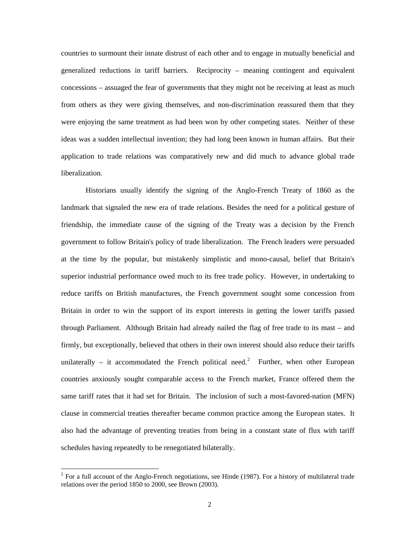countries to surmount their innate distrust of each other and to engage in mutually beneficial and generalized reductions in tariff barriers. Reciprocity – meaning contingent and equivalent concessions – assuaged the fear of governments that they might not be receiving at least as much from others as they were giving themselves, and non-discrimination reassured them that they were enjoying the same treatment as had been won by other competing states. Neither of these ideas was a sudden intellectual invention; they had long been known in human affairs. But their application to trade relations was comparatively new and did much to advance global trade liberalization.

 Historians usually identify the signing of the Anglo-French Treaty of 1860 as the landmark that signaled the new era of trade relations. Besides the need for a political gesture of friendship, the immediate cause of the signing of the Treaty was a decision by the French government to follow Britain's policy of trade liberalization. The French leaders were persuaded at the time by the popular, but mistakenly simplistic and mono-causal, belief that Britain's superior industrial performance owed much to its free trade policy. However, in undertaking to reduce tariffs on British manufactures, the French government sought some concession from Britain in order to win the support of its export interests in getting the lower tariffs passed through Parliament. Although Britain had already nailed the flag of free trade to its mast – and firmly, but exceptionally, believed that others in their own interest should also reduce their tariffs unilaterally – it accommodated the French political need.<sup>[2](#page-3-0)</sup> Further, when other European countries anxiously sought comparable access to the French market, France offered them the same tariff rates that it had set for Britain. The inclusion of such a most-favored-nation (MFN) clause in commercial treaties thereafter became common practice among the European states. It also had the advantage of preventing treaties from being in a constant state of flux with tariff schedules having repeatedly to be renegotiated bilaterally.

<span id="page-3-0"></span> $2^2$  For a full account of the Anglo-French negotiations, see Hinde (1987). For a history of multilateral trade relations over the period 1850 to 2000, see Brown (2003).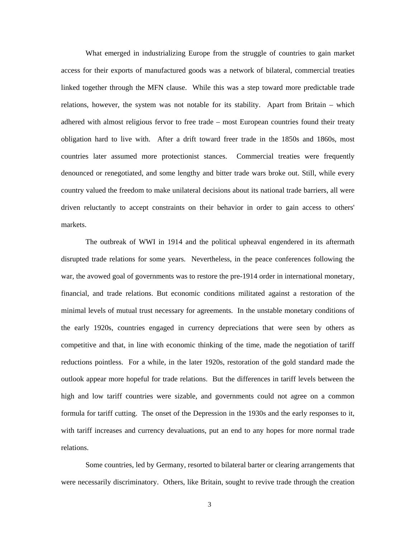What emerged in industrializing Europe from the struggle of countries to gain market access for their exports of manufactured goods was a network of bilateral, commercial treaties linked together through the MFN clause. While this was a step toward more predictable trade relations, however, the system was not notable for its stability. Apart from Britain – which adhered with almost religious fervor to free trade – most European countries found their treaty obligation hard to live with. After a drift toward freer trade in the 1850s and 1860s, most countries later assumed more protectionist stances. Commercial treaties were frequently denounced or renegotiated, and some lengthy and bitter trade wars broke out. Still, while every country valued the freedom to make unilateral decisions about its national trade barriers, all were driven reluctantly to accept constraints on their behavior in order to gain access to others' markets.

 The outbreak of WWI in 1914 and the political upheaval engendered in its aftermath disrupted trade relations for some years. Nevertheless, in the peace conferences following the war, the avowed goal of governments was to restore the pre-1914 order in international monetary, financial, and trade relations. But economic conditions militated against a restoration of the minimal levels of mutual trust necessary for agreements. In the unstable monetary conditions of the early 1920s, countries engaged in currency depreciations that were seen by others as competitive and that, in line with economic thinking of the time, made the negotiation of tariff reductions pointless. For a while, in the later 1920s, restoration of the gold standard made the outlook appear more hopeful for trade relations. But the differences in tariff levels between the high and low tariff countries were sizable, and governments could not agree on a common formula for tariff cutting. The onset of the Depression in the 1930s and the early responses to it, with tariff increases and currency devaluations, put an end to any hopes for more normal trade relations.

Some countries, led by Germany, resorted to bilateral barter or clearing arrangements that were necessarily discriminatory. Others, like Britain, sought to revive trade through the creation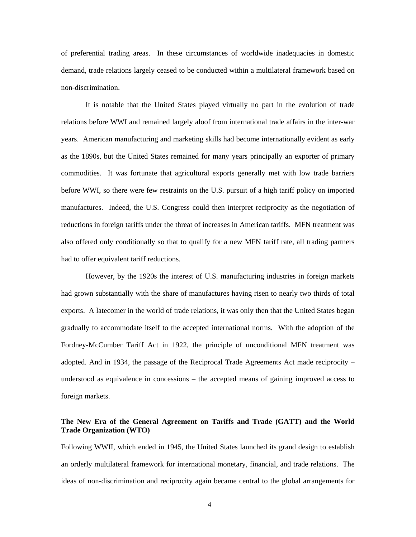of preferential trading areas. In these circumstances of worldwide inadequacies in domestic demand, trade relations largely ceased to be conducted within a multilateral framework based on non-discrimination.

 It is notable that the United States played virtually no part in the evolution of trade relations before WWI and remained largely aloof from international trade affairs in the inter-war years. American manufacturing and marketing skills had become internationally evident as early as the 1890s, but the United States remained for many years principally an exporter of primary commodities. It was fortunate that agricultural exports generally met with low trade barriers before WWI, so there were few restraints on the U.S. pursuit of a high tariff policy on imported manufactures. Indeed, the U.S. Congress could then interpret reciprocity as the negotiation of reductions in foreign tariffs under the threat of increases in American tariffs. MFN treatment was also offered only conditionally so that to qualify for a new MFN tariff rate, all trading partners had to offer equivalent tariff reductions.

 However, by the 1920s the interest of U.S. manufacturing industries in foreign markets had grown substantially with the share of manufactures having risen to nearly two thirds of total exports. A latecomer in the world of trade relations, it was only then that the United States began gradually to accommodate itself to the accepted international norms. With the adoption of the Fordney-McCumber Tariff Act in 1922, the principle of unconditional MFN treatment was adopted. And in 1934, the passage of the Reciprocal Trade Agreements Act made reciprocity – understood as equivalence in concessions – the accepted means of gaining improved access to foreign markets.

## **The New Era of the General Agreement on Tariffs and Trade (GATT) and the World Trade Organization (WTO)**

Following WWII, which ended in 1945, the United States launched its grand design to establish an orderly multilateral framework for international monetary, financial, and trade relations. The ideas of non-discrimination and reciprocity again became central to the global arrangements for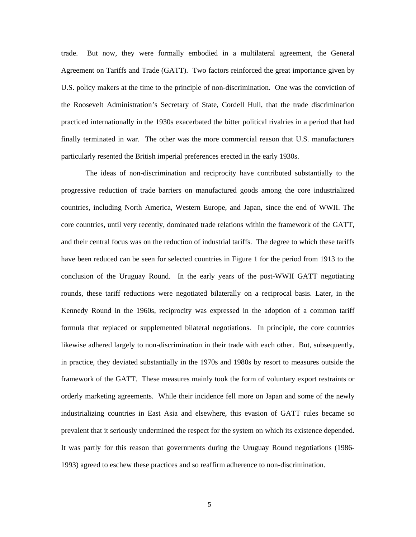trade. But now, they were formally embodied in a multilateral agreement, the General Agreement on Tariffs and Trade (GATT). Two factors reinforced the great importance given by U.S. policy makers at the time to the principle of non-discrimination. One was the conviction of the Roosevelt Administration's Secretary of State, Cordell Hull, that the trade discrimination practiced internationally in the 1930s exacerbated the bitter political rivalries in a period that had finally terminated in war. The other was the more commercial reason that U.S. manufacturers particularly resented the British imperial preferences erected in the early 1930s.

The ideas of non-discrimination and reciprocity have contributed substantially to the progressive reduction of trade barriers on manufactured goods among the core industrialized countries, including North America, Western Europe, and Japan, since the end of WWII. The core countries, until very recently, dominated trade relations within the framework of the GATT, and their central focus was on the reduction of industrial tariffs. The degree to which these tariffs have been reduced can be seen for selected countries in Figure 1 for the period from 1913 to the conclusion of the Uruguay Round. In the early years of the post-WWII GATT negotiating rounds, these tariff reductions were negotiated bilaterally on a reciprocal basis. Later, in the Kennedy Round in the 1960s, reciprocity was expressed in the adoption of a common tariff formula that replaced or supplemented bilateral negotiations. In principle, the core countries likewise adhered largely to non-discrimination in their trade with each other. But, subsequently, in practice, they deviated substantially in the 1970s and 1980s by resort to measures outside the framework of the GATT. These measures mainly took the form of voluntary export restraints or orderly marketing agreements. While their incidence fell more on Japan and some of the newly industrializing countries in East Asia and elsewhere, this evasion of GATT rules became so prevalent that it seriously undermined the respect for the system on which its existence depended. It was partly for this reason that governments during the Uruguay Round negotiations (1986- 1993) agreed to eschew these practices and so reaffirm adherence to non-discrimination.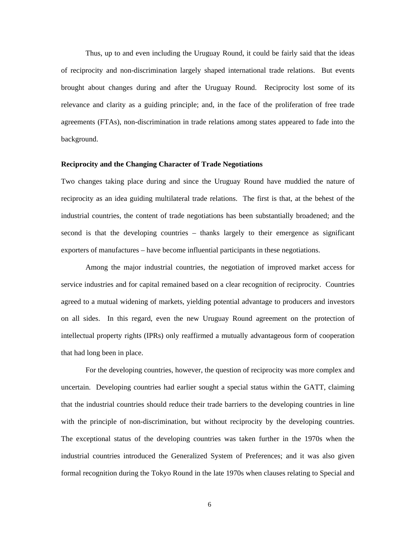Thus, up to and even including the Uruguay Round, it could be fairly said that the ideas of reciprocity and non-discrimination largely shaped international trade relations. But events brought about changes during and after the Uruguay Round. Reciprocity lost some of its relevance and clarity as a guiding principle; and, in the face of the proliferation of free trade agreements (FTAs), non-discrimination in trade relations among states appeared to fade into the background.

#### **Reciprocity and the Changing Character of Trade Negotiations**

Two changes taking place during and since the Uruguay Round have muddied the nature of reciprocity as an idea guiding multilateral trade relations. The first is that, at the behest of the industrial countries, the content of trade negotiations has been substantially broadened; and the second is that the developing countries – thanks largely to their emergence as significant exporters of manufactures – have become influential participants in these negotiations.

 Among the major industrial countries, the negotiation of improved market access for service industries and for capital remained based on a clear recognition of reciprocity. Countries agreed to a mutual widening of markets, yielding potential advantage to producers and investors on all sides. In this regard, even the new Uruguay Round agreement on the protection of intellectual property rights (IPRs) only reaffirmed a mutually advantageous form of cooperation that had long been in place.

 For the developing countries, however, the question of reciprocity was more complex and uncertain. Developing countries had earlier sought a special status within the GATT, claiming that the industrial countries should reduce their trade barriers to the developing countries in line with the principle of non-discrimination, but without reciprocity by the developing countries. The exceptional status of the developing countries was taken further in the 1970s when the industrial countries introduced the Generalized System of Preferences; and it was also given formal recognition during the Tokyo Round in the late 1970s when clauses relating to Special and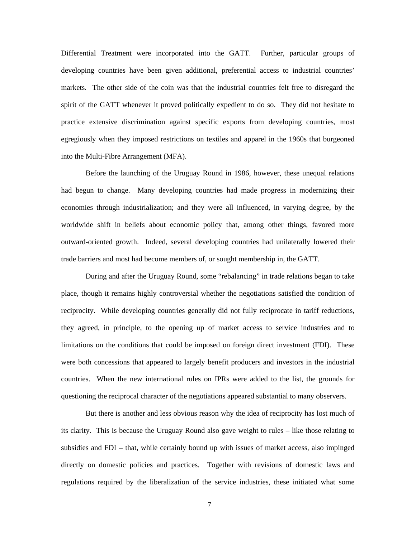Differential Treatment were incorporated into the GATT. Further, particular groups of developing countries have been given additional, preferential access to industrial countries' markets. The other side of the coin was that the industrial countries felt free to disregard the spirit of the GATT whenever it proved politically expedient to do so. They did not hesitate to practice extensive discrimination against specific exports from developing countries, most egregiously when they imposed restrictions on textiles and apparel in the 1960s that burgeoned into the Multi-Fibre Arrangement (MFA).

 Before the launching of the Uruguay Round in 1986, however, these unequal relations had begun to change. Many developing countries had made progress in modernizing their economies through industrialization; and they were all influenced, in varying degree, by the worldwide shift in beliefs about economic policy that, among other things, favored more outward-oriented growth. Indeed, several developing countries had unilaterally lowered their trade barriers and most had become members of, or sought membership in, the GATT.

 During and after the Uruguay Round, some "rebalancing" in trade relations began to take place, though it remains highly controversial whether the negotiations satisfied the condition of reciprocity. While developing countries generally did not fully reciprocate in tariff reductions, they agreed, in principle, to the opening up of market access to service industries and to limitations on the conditions that could be imposed on foreign direct investment (FDI). These were both concessions that appeared to largely benefit producers and investors in the industrial countries. When the new international rules on IPRs were added to the list, the grounds for questioning the reciprocal character of the negotiations appeared substantial to many observers.

 But there is another and less obvious reason why the idea of reciprocity has lost much of its clarity. This is because the Uruguay Round also gave weight to rules – like those relating to subsidies and FDI – that, while certainly bound up with issues of market access, also impinged directly on domestic policies and practices. Together with revisions of domestic laws and regulations required by the liberalization of the service industries, these initiated what some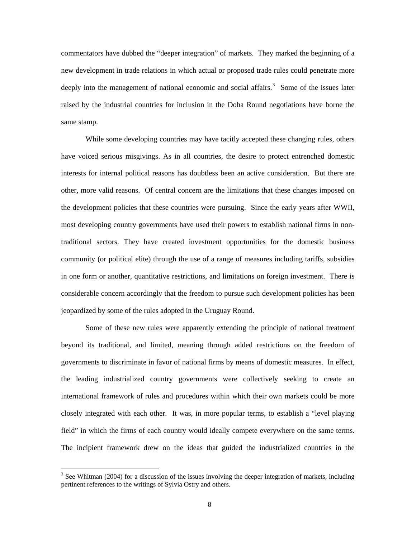commentators have dubbed the "deeper integration" of markets. They marked the beginning of a new development in trade relations in which actual or proposed trade rules could penetrate more deeply into the management of national economic and social affairs.<sup>[3](#page-9-0)</sup> Some of the issues later raised by the industrial countries for inclusion in the Doha Round negotiations have borne the same stamp.

While some developing countries may have tacitly accepted these changing rules, others have voiced serious misgivings. As in all countries, the desire to protect entrenched domestic interests for internal political reasons has doubtless been an active consideration. But there are other, more valid reasons. Of central concern are the limitations that these changes imposed on the development policies that these countries were pursuing. Since the early years after WWII, most developing country governments have used their powers to establish national firms in nontraditional sectors. They have created investment opportunities for the domestic business community (or political elite) through the use of a range of measures including tariffs, subsidies in one form or another, quantitative restrictions, and limitations on foreign investment. There is considerable concern accordingly that the freedom to pursue such development policies has been jeopardized by some of the rules adopted in the Uruguay Round.

Some of these new rules were apparently extending the principle of national treatment beyond its traditional, and limited, meaning through added restrictions on the freedom of governments to discriminate in favor of national firms by means of domestic measures. In effect, the leading industrialized country governments were collectively seeking to create an international framework of rules and procedures within which their own markets could be more closely integrated with each other. It was, in more popular terms, to establish a "level playing field" in which the firms of each country would ideally compete everywhere on the same terms. The incipient framework drew on the ideas that guided the industrialized countries in the

<span id="page-9-0"></span> $3$  See Whitman (2004) for a discussion of the issues involving the deeper integration of markets, including pertinent references to the writings of Sylvia Ostry and others.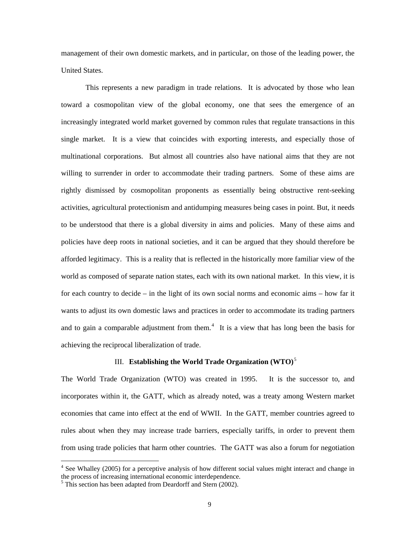management of their own domestic markets, and in particular, on those of the leading power, the United States.

 This represents a new paradigm in trade relations. It is advocated by those who lean toward a cosmopolitan view of the global economy, one that sees the emergence of an increasingly integrated world market governed by common rules that regulate transactions in this single market. It is a view that coincides with exporting interests, and especially those of multinational corporations. But almost all countries also have national aims that they are not willing to surrender in order to accommodate their trading partners. Some of these aims are rightly dismissed by cosmopolitan proponents as essentially being obstructive rent-seeking activities, agricultural protectionism and antidumping measures being cases in point. But, it needs to be understood that there is a global diversity in aims and policies. Many of these aims and policies have deep roots in national societies, and it can be argued that they should therefore be afforded legitimacy. This is a reality that is reflected in the historically more familiar view of the world as composed of separate nation states, each with its own national market. In this view, it is for each country to decide – in the light of its own social norms and economic aims – how far it wants to adjust its own domestic laws and practices in order to accommodate its trading partners and to gain a comparable adjustment from them.<sup>[4](#page-10-0)</sup> It is a view that has long been the basis for achieving the reciprocal liberalization of trade.

## III. **Establishing the World Trade Organization (WTO)**[5](#page-10-1)

The World Trade Organization (WTO) was created in 1995. It is the successor to, and incorporates within it, the GATT, which as already noted, was a treaty among Western market economies that came into effect at the end of WWII. In the GATT, member countries agreed to rules about when they may increase trade barriers, especially tariffs, in order to prevent them from using trade policies that harm other countries. The GATT was also a forum for negotiation

<span id="page-10-0"></span><sup>&</sup>lt;sup>4</sup> See Whalley (2005) for a perceptive analysis of how different social values might interact and change in the process of increasing international economic interdependence.

<span id="page-10-1"></span><sup>&</sup>lt;sup>5</sup> This section has been adapted from Deardorff and Stern (2002).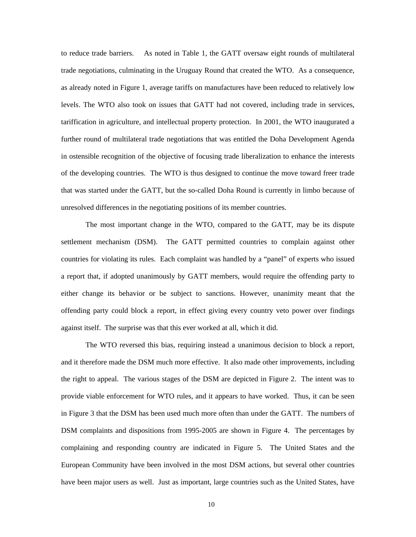to reduce trade barriers. As noted in Table 1, the GATT oversaw eight rounds of multilateral trade negotiations, culminating in the Uruguay Round that created the WTO. As a consequence, as already noted in Figure 1, average tariffs on manufactures have been reduced to relatively low levels. The WTO also took on issues that GATT had not covered, including trade in services, tariffication in agriculture, and intellectual property protection. In 2001, the WTO inaugurated a further round of multilateral trade negotiations that was entitled the Doha Development Agenda in ostensible recognition of the objective of focusing trade liberalization to enhance the interests of the developing countries. The WTO is thus designed to continue the move toward freer trade that was started under the GATT, but the so-called Doha Round is currently in limbo because of unresolved differences in the negotiating positions of its member countries.

The most important change in the WTO, compared to the GATT, may be its dispute settlement mechanism (DSM). The GATT permitted countries to complain against other countries for violating its rules. Each complaint was handled by a "panel" of experts who issued a report that, if adopted unanimously by GATT members, would require the offending party to either change its behavior or be subject to sanctions. However, unanimity meant that the offending party could block a report, in effect giving every country veto power over findings against itself. The surprise was that this ever worked at all, which it did.

The WTO reversed this bias, requiring instead a unanimous decision to block a report, and it therefore made the DSM much more effective. It also made other improvements, including the right to appeal. The various stages of the DSM are depicted in Figure 2. The intent was to provide viable enforcement for WTO rules, and it appears to have worked. Thus, it can be seen in Figure 3 that the DSM has been used much more often than under the GATT. The numbers of DSM complaints and dispositions from 1995-2005 are shown in Figure 4. The percentages by complaining and responding country are indicated in Figure 5. The United States and the European Community have been involved in the most DSM actions, but several other countries have been major users as well. Just as important, large countries such as the United States, have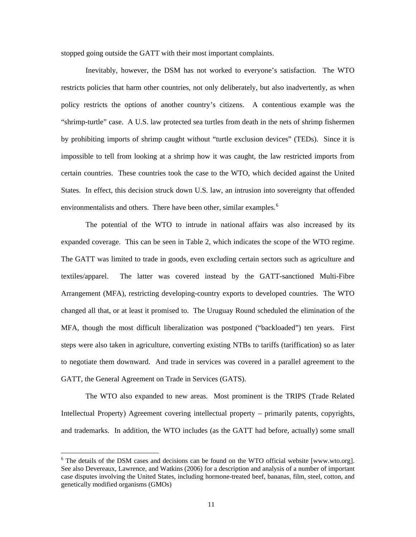stopped going outside the GATT with their most important complaints.

Inevitably, however, the DSM has not worked to everyone's satisfaction. The WTO restricts policies that harm other countries, not only deliberately, but also inadvertently, as when policy restricts the options of another country's citizens. A contentious example was the "shrimp-turtle" case. A U.S. law protected sea turtles from death in the nets of shrimp fishermen by prohibiting imports of shrimp caught without "turtle exclusion devices" (TEDs). Since it is impossible to tell from looking at a shrimp how it was caught, the law restricted imports from certain countries. These countries took the case to the WTO, which decided against the United States. In effect, this decision struck down U.S. law, an intrusion into sovereignty that offended environmentalists and others. There have been other, similar examples.<sup>[6](#page-12-0)</sup>

The potential of the WTO to intrude in national affairs was also increased by its expanded coverage. This can be seen in Table 2, which indicates the scope of the WTO regime. The GATT was limited to trade in goods, even excluding certain sectors such as agriculture and textiles/apparel. The latter was covered instead by the GATT-sanctioned Multi-Fibre Arrangement (MFA), restricting developing-country exports to developed countries. The WTO changed all that, or at least it promised to. The Uruguay Round scheduled the elimination of the MFA, though the most difficult liberalization was postponed ("backloaded") ten years. First steps were also taken in agriculture, converting existing NTBs to tariffs (tariffication) so as later to negotiate them downward. And trade in services was covered in a parallel agreement to the GATT, the General Agreement on Trade in Services (GATS).

The WTO also expanded to new areas. Most prominent is the TRIPS (Trade Related Intellectual Property) Agreement covering intellectual property – primarily patents, copyrights, and trademarks. In addition, the WTO includes (as the GATT had before, actually) some small

<span id="page-12-0"></span> $6$  The details of the DSM cases and decisions can be found on the WTO official website [www.wto.org]. See also Devereaux, Lawrence, and Watkins (2006) for a description and analysis of a number of important case disputes involving the United States, including hormone-treated beef, bananas, film, steel, cotton, and genetically modified organisms (GMOs)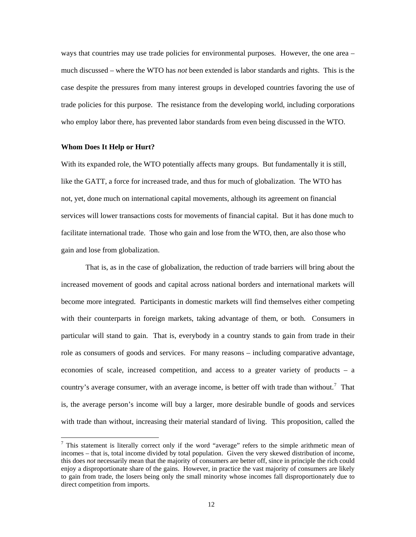ways that countries may use trade policies for environmental purposes. However, the one area – much discussed – where the WTO has *not* been extended is labor standards and rights. This is the case despite the pressures from many interest groups in developed countries favoring the use of trade policies for this purpose. The resistance from the developing world, including corporations who employ labor there, has prevented labor standards from even being discussed in the WTO.

#### **Whom Does It Help or Hurt?**

 $\overline{a}$ 

With its expanded role, the WTO potentially affects many groups. But fundamentally it is still, like the GATT, a force for increased trade, and thus for much of globalization. The WTO has not, yet, done much on international capital movements, although its agreement on financial services will lower transactions costs for movements of financial capital. But it has done much to facilitate international trade. Those who gain and lose from the WTO, then, are also those who gain and lose from globalization.

That is, as in the case of globalization, the reduction of trade barriers will bring about the increased movement of goods and capital across national borders and international markets will become more integrated. Participants in domestic markets will find themselves either competing with their counterparts in foreign markets, taking advantage of them, or both. Consumers in particular will stand to gain. That is, everybody in a country stands to gain from trade in their role as consumers of goods and services. For many reasons – including comparative advantage, economies of scale, increased competition, and access to a greater variety of products – a country's average consumer, with an average income, is better off with trade than without.<sup>[7](#page-13-0)</sup> That is, the average person's income will buy a larger, more desirable bundle of goods and services with trade than without, increasing their material standard of living. This proposition, called the

<span id="page-13-0"></span> $<sup>7</sup>$  This statement is literally correct only if the word "average" refers to the simple arithmetic mean of</sup> incomes – that is, total income divided by total population. Given the very skewed distribution of income, this does *not* necessarily mean that the majority of consumers are better off, since in principle the rich could enjoy a disproportionate share of the gains. However, in practice the vast majority of consumers are likely to gain from trade, the losers being only the small minority whose incomes fall disproportionately due to direct competition from imports.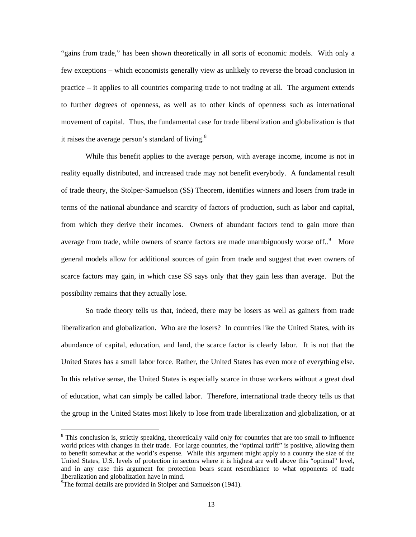"gains from trade," has been shown theoretically in all sorts of economic models. With only a few exceptions – which economists generally view as unlikely to reverse the broad conclusion in practice – it applies to all countries comparing trade to not trading at all. The argument extends to further degrees of openness, as well as to other kinds of openness such as international movement of capital. Thus, the fundamental case for trade liberalization and globalization is that it raises the average person's standard of living. $8$ 

While this benefit applies to the average person, with average income, income is not in reality equally distributed, and increased trade may not benefit everybody. A fundamental result of trade theory, the Stolper-Samuelson (SS) Theorem, identifies winners and losers from trade in terms of the national abundance and scarcity of factors of production, such as labor and capital, from which they derive their incomes. Owners of abundant factors tend to gain more than average from trade, while owners of scarce factors are made unambiguously worse off.. $9$  More general models allow for additional sources of gain from trade and suggest that even owners of scarce factors may gain, in which case SS says only that they gain less than average. But the possibility remains that they actually lose.

So trade theory tells us that, indeed, there may be losers as well as gainers from trade liberalization and globalization. Who are the losers? In countries like the United States, with its abundance of capital, education, and land, the scarce factor is clearly labor. It is not that the United States has a small labor force. Rather, the United States has even more of everything else. In this relative sense, the United States is especially scarce in those workers without a great deal of education, what can simply be called labor. Therefore, international trade theory tells us that the group in the United States most likely to lose from trade liberalization and globalization, or at

<span id="page-14-0"></span><sup>&</sup>lt;sup>8</sup> This conclusion is, strictly speaking, theoretically valid only for countries that are too small to influence world prices with changes in their trade. For large countries, the "optimal tariff" is positive, allowing them to benefit somewhat at the world's expense. While this argument might apply to a country the size of the United States, U.S. levels of protection in sectors where it is highest are well above this "optimal" level, and in any case this argument for protection bears scant resemblance to what opponents of trade liberalization and globalization have in mind.

<span id="page-14-1"></span><sup>&</sup>lt;sup>9</sup>The formal details are provided in Stolper and Samuelson (1941).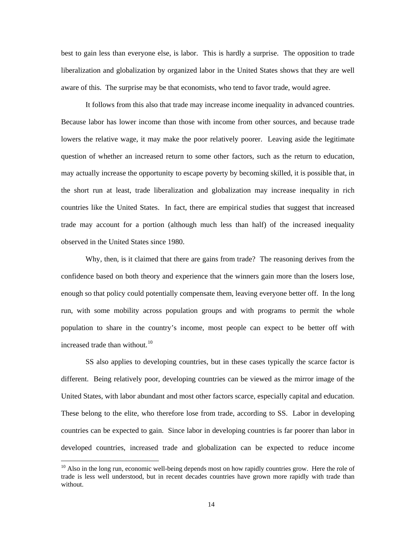best to gain less than everyone else, is labor. This is hardly a surprise. The opposition to trade liberalization and globalization by organized labor in the United States shows that they are well aware of this. The surprise may be that economists, who tend to favor trade, would agree.

It follows from this also that trade may increase income inequality in advanced countries. Because labor has lower income than those with income from other sources, and because trade lowers the relative wage, it may make the poor relatively poorer. Leaving aside the legitimate question of whether an increased return to some other factors, such as the return to education, may actually increase the opportunity to escape poverty by becoming skilled, it is possible that, in the short run at least, trade liberalization and globalization may increase inequality in rich countries like the United States. In fact, there are empirical studies that suggest that increased trade may account for a portion (although much less than half) of the increased inequality observed in the United States since 1980.

Why, then, is it claimed that there are gains from trade? The reasoning derives from the confidence based on both theory and experience that the winners gain more than the losers lose, enough so that policy could potentially compensate them, leaving everyone better off. In the long run, with some mobility across population groups and with programs to permit the whole population to share in the country's income, most people can expect to be better off with increased trade than without. $10$ 

SS also applies to developing countries, but in these cases typically the scarce factor is different. Being relatively poor, developing countries can be viewed as the mirror image of the United States, with labor abundant and most other factors scarce, especially capital and education. These belong to the elite, who therefore lose from trade, according to SS. Labor in developing countries can be expected to gain. Since labor in developing countries is far poorer than labor in developed countries, increased trade and globalization can be expected to reduce income

<span id="page-15-0"></span><sup>&</sup>lt;sup>10</sup> Also in the long run, economic well-being depends most on how rapidly countries grow. Here the role of trade is less well understood, but in recent decades countries have grown more rapidly with trade than without.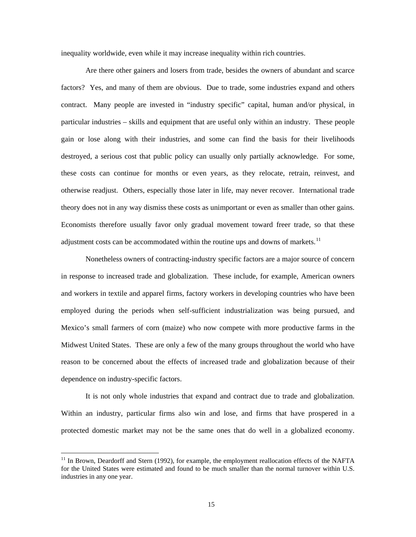inequality worldwide, even while it may increase inequality within rich countries.

Are there other gainers and losers from trade, besides the owners of abundant and scarce factors? Yes, and many of them are obvious. Due to trade, some industries expand and others contract. Many people are invested in "industry specific" capital, human and/or physical, in particular industries – skills and equipment that are useful only within an industry. These people gain or lose along with their industries, and some can find the basis for their livelihoods destroyed, a serious cost that public policy can usually only partially acknowledge. For some, these costs can continue for months or even years, as they relocate, retrain, reinvest, and otherwise readjust. Others, especially those later in life, may never recover. International trade theory does not in any way dismiss these costs as unimportant or even as smaller than other gains. Economists therefore usually favor only gradual movement toward freer trade, so that these adjustment costs can be accommodated within the routine ups and downs of markets.<sup>[11](#page-16-0)</sup>

Nonetheless owners of contracting-industry specific factors are a major source of concern in response to increased trade and globalization. These include, for example, American owners and workers in textile and apparel firms, factory workers in developing countries who have been employed during the periods when self-sufficient industrialization was being pursued, and Mexico's small farmers of corn (maize) who now compete with more productive farms in the Midwest United States. These are only a few of the many groups throughout the world who have reason to be concerned about the effects of increased trade and globalization because of their dependence on industry-specific factors.

It is not only whole industries that expand and contract due to trade and globalization. Within an industry, particular firms also win and lose, and firms that have prospered in a protected domestic market may not be the same ones that do well in a globalized economy.

<span id="page-16-0"></span> $11$  In Brown, Deardorff and Stern (1992), for example, the employment reallocation effects of the NAFTA for the United States were estimated and found to be much smaller than the normal turnover within U.S. industries in any one year.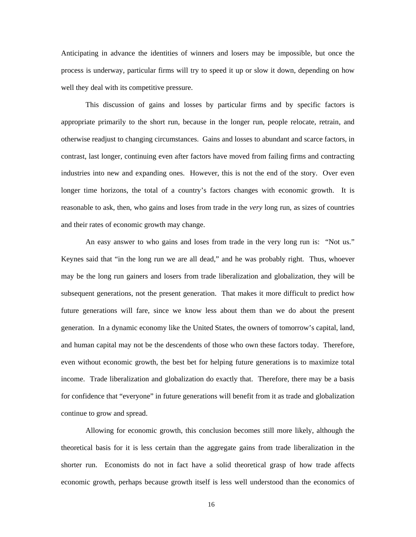Anticipating in advance the identities of winners and losers may be impossible, but once the process is underway, particular firms will try to speed it up or slow it down, depending on how well they deal with its competitive pressure.

This discussion of gains and losses by particular firms and by specific factors is appropriate primarily to the short run, because in the longer run, people relocate, retrain, and otherwise readjust to changing circumstances. Gains and losses to abundant and scarce factors, in contrast, last longer, continuing even after factors have moved from failing firms and contracting industries into new and expanding ones. However, this is not the end of the story. Over even longer time horizons, the total of a country's factors changes with economic growth. It is reasonable to ask, then, who gains and loses from trade in the *very* long run, as sizes of countries and their rates of economic growth may change.

An easy answer to who gains and loses from trade in the very long run is: "Not us." Keynes said that "in the long run we are all dead," and he was probably right. Thus, whoever may be the long run gainers and losers from trade liberalization and globalization, they will be subsequent generations, not the present generation. That makes it more difficult to predict how future generations will fare, since we know less about them than we do about the present generation. In a dynamic economy like the United States, the owners of tomorrow's capital, land, and human capital may not be the descendents of those who own these factors today. Therefore, even without economic growth, the best bet for helping future generations is to maximize total income. Trade liberalization and globalization do exactly that. Therefore, there may be a basis for confidence that "everyone" in future generations will benefit from it as trade and globalization continue to grow and spread.

Allowing for economic growth, this conclusion becomes still more likely, although the theoretical basis for it is less certain than the aggregate gains from trade liberalization in the shorter run. Economists do not in fact have a solid theoretical grasp of how trade affects economic growth, perhaps because growth itself is less well understood than the economics of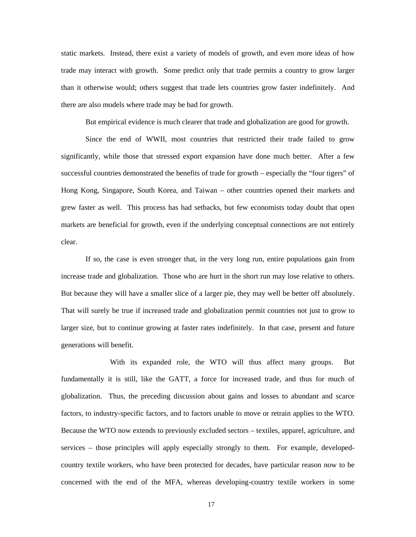static markets. Instead, there exist a variety of models of growth, and even more ideas of how trade may interact with growth. Some predict only that trade permits a country to grow larger than it otherwise would; others suggest that trade lets countries grow faster indefinitely. And there are also models where trade may be bad for growth.

But empirical evidence is much clearer that trade and globalization are good for growth.

Since the end of WWII, most countries that restricted their trade failed to grow significantly, while those that stressed export expansion have done much better. After a few successful countries demonstrated the benefits of trade for growth – especially the "four tigers" of Hong Kong, Singapore, South Korea, and Taiwan – other countries opened their markets and grew faster as well. This process has had setbacks, but few economists today doubt that open markets are beneficial for growth, even if the underlying conceptual connections are not entirely clear.

If so, the case is even stronger that, in the very long run, entire populations gain from increase trade and globalization. Those who are hurt in the short run may lose relative to others. But because they will have a smaller slice of a larger pie, they may well be better off absolutely. That will surely be true if increased trade and globalization permit countries not just to grow to larger size, but to continue growing at faster rates indefinitely. In that case, present and future generations will benefit.

 With its expanded role, the WTO will thus affect many groups. But fundamentally it is still, like the GATT, a force for increased trade, and thus for much of globalization. Thus, the preceding discussion about gains and losses to abundant and scarce factors, to industry-specific factors, and to factors unable to move or retrain applies to the WTO. Because the WTO now extends to previously excluded sectors – textiles, apparel, agriculture, and services – those principles will apply especially strongly to them. For example, developedcountry textile workers, who have been protected for decades, have particular reason now to be concerned with the end of the MFA, whereas developing-country textile workers in some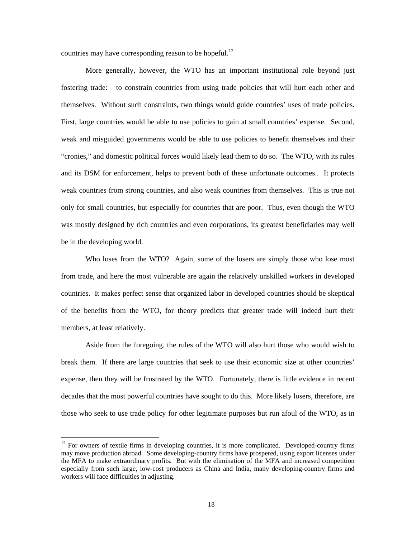countries may have corresponding reason to be hopeful.<sup>[12](#page-19-0)</sup>

More generally, however, the WTO has an important institutional role beyond just fostering trade: to constrain countries from using trade policies that will hurt each other and themselves. Without such constraints, two things would guide countries' uses of trade policies. First, large countries would be able to use policies to gain at small countries' expense. Second, weak and misguided governments would be able to use policies to benefit themselves and their "cronies," and domestic political forces would likely lead them to do so. The WTO, with its rules and its DSM for enforcement, helps to prevent both of these unfortunate outcomes.. It protects weak countries from strong countries, and also weak countries from themselves. This is true not only for small countries, but especially for countries that are poor. Thus, even though the WTO was mostly designed by rich countries and even corporations, its greatest beneficiaries may well be in the developing world.

Who loses from the WTO? Again, some of the losers are simply those who lose most from trade, and here the most vulnerable are again the relatively unskilled workers in developed countries. It makes perfect sense that organized labor in developed countries should be skeptical of the benefits from the WTO, for theory predicts that greater trade will indeed hurt their members, at least relatively.

Aside from the foregoing, the rules of the WTO will also hurt those who would wish to break them. If there are large countries that seek to use their economic size at other countries' expense, then they will be frustrated by the WTO. Fortunately, there is little evidence in recent decades that the most powerful countries have sought to do this. More likely losers, therefore, are those who seek to use trade policy for other legitimate purposes but run afoul of the WTO, as in

<span id="page-19-0"></span><sup>&</sup>lt;sup>12</sup> For owners of textile firms in developing countries, it is more complicated. Developed-country firms may move production abroad. Some developing-country firms have prospered, using export licenses under the MFA to make extraordinary profits. But with the elimination of the MFA and increased competition especially from such large, low-cost producers as China and India, many developing-country firms and workers will face difficulties in adjusting.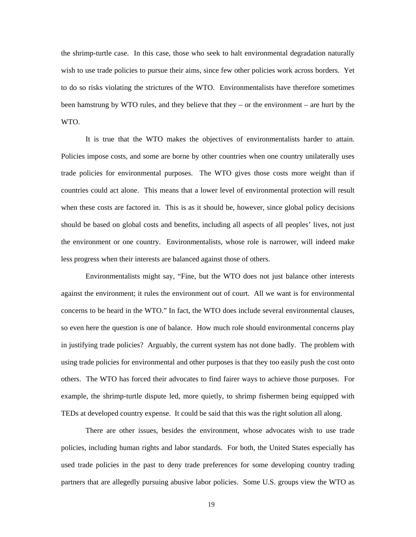the shrimp-turtle case. In this case, those who seek to halt environmental degradation naturally wish to use trade policies to pursue their aims, since few other policies work across borders. Yet to do so risks violating the strictures of the WTO. Environmentalists have therefore sometimes been hamstrung by WTO rules, and they believe that they – or the environment – are hurt by the WTO.

It is true that the WTO makes the objectives of environmentalists harder to attain. Policies impose costs, and some are borne by other countries when one country unilaterally uses trade policies for environmental purposes. The WTO gives those costs more weight than if countries could act alone. This means that a lower level of environmental protection will result when these costs are factored in. This is as it should be, however, since global policy decisions should be based on global costs and benefits, including all aspects of all peoples' lives, not just the environment or one country. Environmentalists, whose role is narrower, will indeed make less progress when their interests are balanced against those of others.

Environmentalists might say, "Fine, but the WTO does not just balance other interests against the environment; it rules the environment out of court. All we want is for environmental concerns to be heard in the WTO." In fact, the WTO does include several environmental clauses, so even here the question is one of balance. How much role should environmental concerns play in justifying trade policies? Arguably, the current system has not done badly. The problem with using trade policies for environmental and other purposes is that they too easily push the cost onto others. The WTO has forced their advocates to find fairer ways to achieve those purposes. For example, the shrimp-turtle dispute led, more quietly, to shrimp fishermen being equipped with TEDs at developed country expense. It could be said that this was the right solution all along.

There are other issues, besides the environment, whose advocates wish to use trade policies, including human rights and labor standards. For both, the United States especially has used trade policies in the past to deny trade preferences for some developing country trading partners that are allegedly pursuing abusive labor policies. Some U.S. groups view the WTO as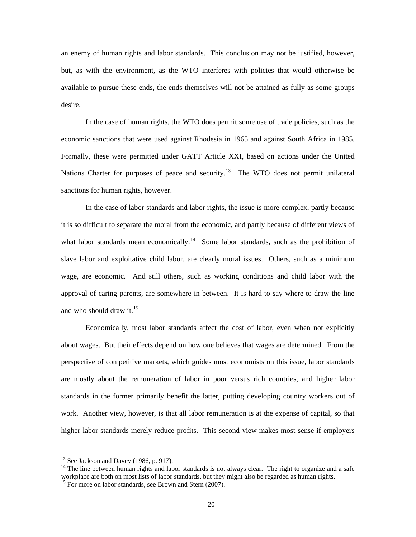an enemy of human rights and labor standards. This conclusion may not be justified, however, but, as with the environment, as the WTO interferes with policies that would otherwise be available to pursue these ends, the ends themselves will not be attained as fully as some groups desire.

In the case of human rights, the WTO does permit some use of trade policies, such as the economic sanctions that were used against Rhodesia in 1965 and against South Africa in 1985. Formally, these were permitted under GATT Article XXI, based on actions under the United Nations Charter for purposes of peace and security.<sup>[13](#page-21-0)</sup> The WTO does not permit unilateral sanctions for human rights, however.

In the case of labor standards and labor rights, the issue is more complex, partly because it is so difficult to separate the moral from the economic, and partly because of different views of what labor standards mean economically.<sup>[14](#page-21-1)</sup> Some labor standards, such as the prohibition of slave labor and exploitative child labor, are clearly moral issues. Others, such as a minimum wage, are economic. And still others, such as working conditions and child labor with the approval of caring parents, are somewhere in between. It is hard to say where to draw the line and who should draw it. $15$ 

Economically, most labor standards affect the cost of labor, even when not explicitly about wages. But their effects depend on how one believes that wages are determined. From the perspective of competitive markets, which guides most economists on this issue, labor standards are mostly about the remuneration of labor in poor versus rich countries, and higher labor standards in the former primarily benefit the latter, putting developing country workers out of work. Another view, however, is that all labor remuneration is at the expense of capital, so that higher labor standards merely reduce profits. This second view makes most sense if employers

 $13$  See Jackson and Davey (1986, p. 917).

<span id="page-21-1"></span><span id="page-21-0"></span><sup>&</sup>lt;sup>14</sup> The line between human rights and labor standards is not always clear. The right to organize and a safe workplace are both on most lists of labor standards, but they might also be regarded as human rights. 15 For more on labor standards, see Brown and Stern (2007).

<span id="page-21-2"></span>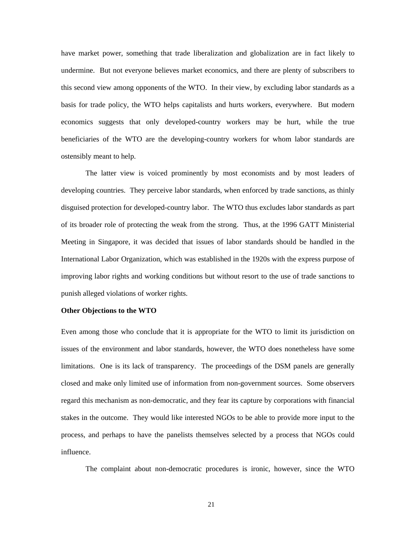have market power, something that trade liberalization and globalization are in fact likely to undermine. But not everyone believes market economics, and there are plenty of subscribers to this second view among opponents of the WTO. In their view, by excluding labor standards as a basis for trade policy, the WTO helps capitalists and hurts workers, everywhere. But modern economics suggests that only developed-country workers may be hurt, while the true beneficiaries of the WTO are the developing-country workers for whom labor standards are ostensibly meant to help.

The latter view is voiced prominently by most economists and by most leaders of developing countries. They perceive labor standards, when enforced by trade sanctions, as thinly disguised protection for developed-country labor. The WTO thus excludes labor standards as part of its broader role of protecting the weak from the strong. Thus, at the 1996 GATT Ministerial Meeting in Singapore, it was decided that issues of labor standards should be handled in the International Labor Organization, which was established in the 1920s with the express purpose of improving labor rights and working conditions but without resort to the use of trade sanctions to punish alleged violations of worker rights.

#### **Other Objections to the WTO**

Even among those who conclude that it is appropriate for the WTO to limit its jurisdiction on issues of the environment and labor standards, however, the WTO does nonetheless have some limitations. One is its lack of transparency. The proceedings of the DSM panels are generally closed and make only limited use of information from non-government sources. Some observers regard this mechanism as non-democratic, and they fear its capture by corporations with financial stakes in the outcome. They would like interested NGOs to be able to provide more input to the process, and perhaps to have the panelists themselves selected by a process that NGOs could influence.

The complaint about non-democratic procedures is ironic, however, since the WTO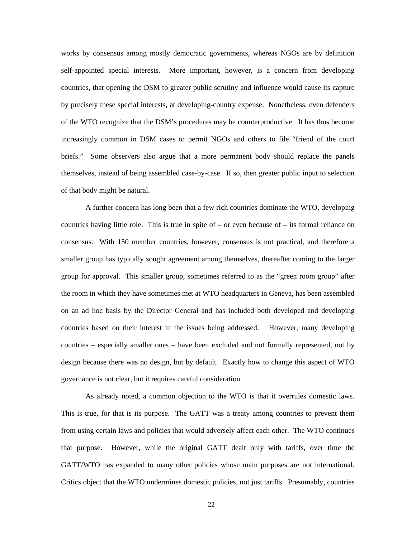works by consensus among mostly democratic governments, whereas NGOs are by definition self-appointed special interests. More important, however, is a concern from developing countries, that opening the DSM to greater public scrutiny and influence would cause its capture by precisely these special interests, at developing-country expense. Nonetheless, even defenders of the WTO recognize that the DSM's procedures may be counterproductive. It has thus become increasingly common in DSM cases to permit NGOs and others to file "friend of the court briefs." Some observers also argue that a more permanent body should replace the panels themselves, instead of being assembled case-by-case. If so, then greater public input to selection of that body might be natural.

A further concern has long been that a few rich countries dominate the WTO, developing countries having little role. This is true in spite of – or even because of – its formal reliance on consensus. With 150 member countries, however, consensus is not practical, and therefore a smaller group has typically sought agreement among themselves, thereafter coming to the larger group for approval. This smaller group, sometimes referred to as the "green room group" after the room in which they have sometimes met at WTO headquarters in Geneva, has been assembled on an ad hoc basis by the Director General and has included both developed and developing countries based on their interest in the issues being addressed. However, many developing countries – especially smaller ones – have been excluded and not formally represented, not by design because there was no design, but by default. Exactly how to change this aspect of WTO governance is not clear, but it requires careful consideration.

As already noted, a common objection to the WTO is that it overrules domestic laws. This is true, for that is its purpose. The GATT was a treaty among countries to prevent them from using certain laws and policies that would adversely affect each other. The WTO continues that purpose. However, while the original GATT dealt only with tariffs, over time the GATT/WTO has expanded to many other policies whose main purposes are not international. Critics object that the WTO undermines domestic policies, not just tariffs. Presumably, countries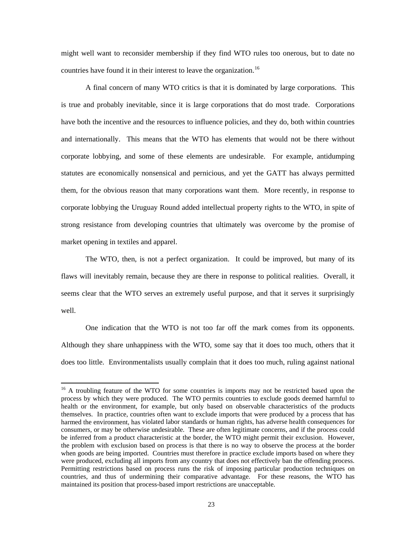might well want to reconsider membership if they find WTO rules too onerous, but to date no countries have found it in their interest to leave the organization.<sup>[16](#page-24-0)</sup>

A final concern of many WTO critics is that it is dominated by large corporations. This is true and probably inevitable, since it is large corporations that do most trade. Corporations have both the incentive and the resources to influence policies, and they do, both within countries and internationally. This means that the WTO has elements that would not be there without corporate lobbying, and some of these elements are undesirable. For example, antidumping statutes are economically nonsensical and pernicious, and yet the GATT has always permitted them, for the obvious reason that many corporations want them. More recently, in response to corporate lobbying the Uruguay Round added intellectual property rights to the WTO, in spite of strong resistance from developing countries that ultimately was overcome by the promise of market opening in textiles and apparel.

The WTO, then, is not a perfect organization. It could be improved, but many of its flaws will inevitably remain, because they are there in response to political realities. Overall, it seems clear that the WTO serves an extremely useful purpose, and that it serves it surprisingly well.

One indication that the WTO is not too far off the mark comes from its opponents. Although they share unhappiness with the WTO, some say that it does too much, others that it does too little. Environmentalists usually complain that it does too much, ruling against national

<span id="page-24-0"></span><sup>&</sup>lt;sup>16</sup> A troubling feature of the WTO for some countries is imports may not be restricted based upon the process by which they were produced. The WTO permits countries to exclude goods deemed harmful to health or the environment, for example, but only based on observable characteristics of the products themselves. In practice, countries often want to exclude imports that were produced by a process that has harmed the environment, has violated labor standards or human rights, has adverse health consequences for consumers, or may be otherwise undesirable. These are often legitimate concerns, and if the process could be inferred from a product characteristic at the border, the WTO might permit their exclusion. However, the problem with exclusion based on process is that there is no way to observe the process at the border when goods are being imported. Countries must therefore in practice exclude imports based on where they were produced, excluding all imports from any country that does not effectively ban the offending process. Permitting restrictions based on process runs the risk of imposing particular production techniques on countries, and thus of undermining their comparative advantage. For these reasons, the WTO has maintained its position that process-based import restrictions are unacceptable.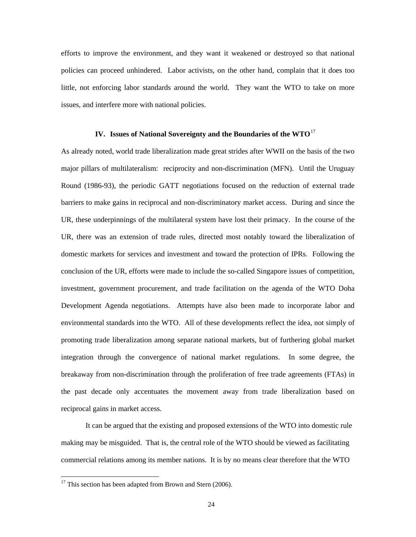efforts to improve the environment, and they want it weakened or destroyed so that national policies can proceed unhindered. Labor activists, on the other hand, complain that it does too little, not enforcing labor standards around the world. They want the WTO to take on more issues, and interfere more with national policies.

## **IV. Issues of National Sovereignty and the Boundaries of the WTO**[17](#page-25-0)

As already noted, world trade liberalization made great strides after WWII on the basis of the two major pillars of multilateralism: reciprocity and non-discrimination (MFN). Until the Uruguay Round (1986-93), the periodic GATT negotiations focused on the reduction of external trade barriers to make gains in reciprocal and non-discriminatory market access. During and since the UR, these underpinnings of the multilateral system have lost their primacy. In the course of the UR, there was an extension of trade rules, directed most notably toward the liberalization of domestic markets for services and investment and toward the protection of IPRs. Following the conclusion of the UR, efforts were made to include the so-called Singapore issues of competition, investment, government procurement, and trade facilitation on the agenda of the WTO Doha Development Agenda negotiations. Attempts have also been made to incorporate labor and environmental standards into the WTO. All of these developments reflect the idea, not simply of promoting trade liberalization among separate national markets, but of furthering global market integration through the convergence of national market regulations. In some degree, the breakaway from non-discrimination through the proliferation of free trade agreements (FTAs) in the past decade only accentuates the movement away from trade liberalization based on reciprocal gains in market access.

It can be argued that the existing and proposed extensions of the WTO into domestic rule making may be misguided. That is, the central role of the WTO should be viewed as facilitating commercial relations among its member nations. It is by no means clear therefore that the WTO

<span id="page-25-0"></span> $17$  This section has been adapted from Brown and Stern (2006).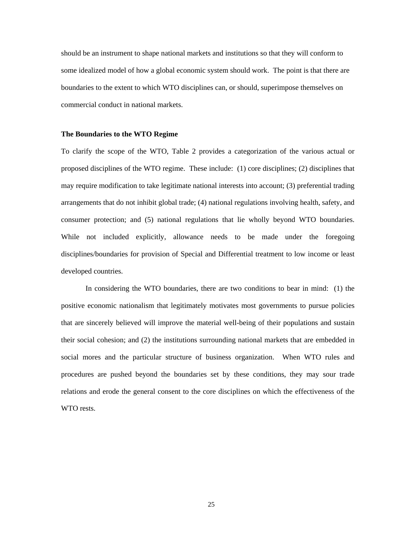should be an instrument to shape national markets and institutions so that they will conform to some idealized model of how a global economic system should work. The point is that there are boundaries to the extent to which WTO disciplines can, or should, superimpose themselves on commercial conduct in national markets.

#### **The Boundaries to the WTO Regime**

To clarify the scope of the WTO, Table 2 provides a categorization of the various actual or proposed disciplines of the WTO regime. These include: (1) core disciplines; (2) disciplines that may require modification to take legitimate national interests into account; (3) preferential trading arrangements that do not inhibit global trade; (4) national regulations involving health, safety, and consumer protection; and (5) national regulations that lie wholly beyond WTO boundaries. While not included explicitly, allowance needs to be made under the foregoing disciplines/boundaries for provision of Special and Differential treatment to low income or least developed countries.

In considering the WTO boundaries, there are two conditions to bear in mind: (1) the positive economic nationalism that legitimately motivates most governments to pursue policies that are sincerely believed will improve the material well-being of their populations and sustain their social cohesion; and (2) the institutions surrounding national markets that are embedded in social mores and the particular structure of business organization. When WTO rules and procedures are pushed beyond the boundaries set by these conditions, they may sour trade relations and erode the general consent to the core disciplines on which the effectiveness of the WTO rests.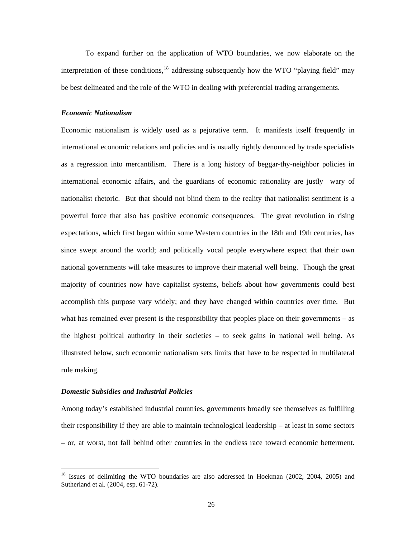To expand further on the application of WTO boundaries, we now elaborate on the interpretation of these conditions,  $\frac{18}{18}$  $\frac{18}{18}$  $\frac{18}{18}$  addressing subsequently how the WTO "playing field" may be best delineated and the role of the WTO in dealing with preferential trading arrangements.

#### *Economic Nationalism*

Economic nationalism is widely used as a pejorative term. It manifests itself frequently in international economic relations and policies and is usually rightly denounced by trade specialists as a regression into mercantilism. There is a long history of beggar-thy-neighbor policies in international economic affairs, and the guardians of economic rationality are justly wary of nationalist rhetoric. But that should not blind them to the reality that nationalist sentiment is a powerful force that also has positive economic consequences. The great revolution in rising expectations, which first began within some Western countries in the 18th and 19th centuries, has since swept around the world; and politically vocal people everywhere expect that their own national governments will take measures to improve their material well being. Though the great majority of countries now have capitalist systems, beliefs about how governments could best accomplish this purpose vary widely; and they have changed within countries over time. But what has remained ever present is the responsibility that peoples place on their governments – as the highest political authority in their societies – to seek gains in national well being. As illustrated below, such economic nationalism sets limits that have to be respected in multilateral rule making.

## *Domestic Subsidies and Industrial Policies*

 $\overline{a}$ 

Among today's established industrial countries, governments broadly see themselves as fulfilling their responsibility if they are able to maintain technological leadership – at least in some sectors – or, at worst, not fall behind other countries in the endless race toward economic betterment.

<span id="page-27-0"></span><sup>&</sup>lt;sup>18</sup> Issues of delimiting the WTO boundaries are also addressed in Hoekman (2002, 2004, 2005) and Sutherland et al. (2004, esp. 61-72).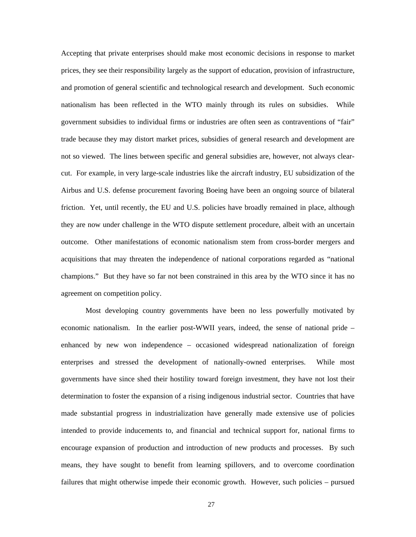Accepting that private enterprises should make most economic decisions in response to market prices, they see their responsibility largely as the support of education, provision of infrastructure, and promotion of general scientific and technological research and development. Such economic nationalism has been reflected in the WTO mainly through its rules on subsidies. While government subsidies to individual firms or industries are often seen as contraventions of "fair" trade because they may distort market prices, subsidies of general research and development are not so viewed. The lines between specific and general subsidies are, however, not always clearcut. For example, in very large-scale industries like the aircraft industry, EU subsidization of the Airbus and U.S. defense procurement favoring Boeing have been an ongoing source of bilateral friction. Yet, until recently, the EU and U.S. policies have broadly remained in place, although they are now under challenge in the WTO dispute settlement procedure, albeit with an uncertain outcome. Other manifestations of economic nationalism stem from cross-border mergers and acquisitions that may threaten the independence of national corporations regarded as "national champions." But they have so far not been constrained in this area by the WTO since it has no agreement on competition policy.

Most developing country governments have been no less powerfully motivated by economic nationalism. In the earlier post-WWII years, indeed, the sense of national pride – enhanced by new won independence – occasioned widespread nationalization of foreign enterprises and stressed the development of nationally-owned enterprises. While most governments have since shed their hostility toward foreign investment, they have not lost their determination to foster the expansion of a rising indigenous industrial sector. Countries that have made substantial progress in industrialization have generally made extensive use of policies intended to provide inducements to, and financial and technical support for, national firms to encourage expansion of production and introduction of new products and processes. By such means, they have sought to benefit from learning spillovers, and to overcome coordination failures that might otherwise impede their economic growth. However, such policies – pursued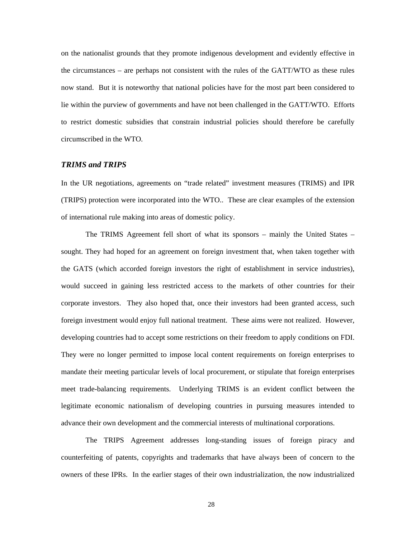on the nationalist grounds that they promote indigenous development and evidently effective in the circumstances – are perhaps not consistent with the rules of the GATT/WTO as these rules now stand. But it is noteworthy that national policies have for the most part been considered to lie within the purview of governments and have not been challenged in the GATT/WTO. Efforts to restrict domestic subsidies that constrain industrial policies should therefore be carefully circumscribed in the WTO.

## *TRIMS and TRIPS*

In the UR negotiations, agreements on "trade related" investment measures (TRIMS) and IPR (TRIPS) protection were incorporated into the WTO.. These are clear examples of the extension of international rule making into areas of domestic policy.

The TRIMS Agreement fell short of what its sponsors – mainly the United States – sought. They had hoped for an agreement on foreign investment that, when taken together with the GATS (which accorded foreign investors the right of establishment in service industries), would succeed in gaining less restricted access to the markets of other countries for their corporate investors. They also hoped that, once their investors had been granted access, such foreign investment would enjoy full national treatment. These aims were not realized. However, developing countries had to accept some restrictions on their freedom to apply conditions on FDI. They were no longer permitted to impose local content requirements on foreign enterprises to mandate their meeting particular levels of local procurement, or stipulate that foreign enterprises meet trade-balancing requirements. Underlying TRIMS is an evident conflict between the legitimate economic nationalism of developing countries in pursuing measures intended to advance their own development and the commercial interests of multinational corporations.

The TRIPS Agreement addresses long-standing issues of foreign piracy and counterfeiting of patents, copyrights and trademarks that have always been of concern to the owners of these IPRs. In the earlier stages of their own industrialization, the now industrialized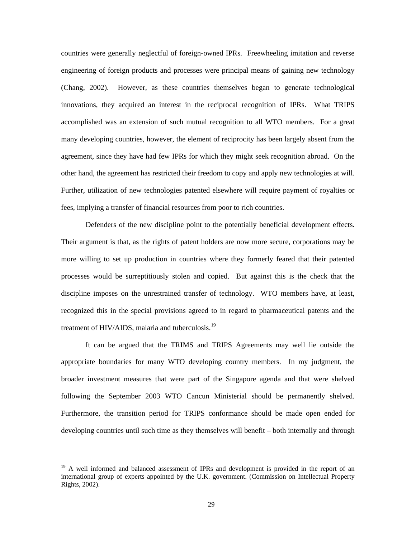countries were generally neglectful of foreign-owned IPRs. Freewheeling imitation and reverse engineering of foreign products and processes were principal means of gaining new technology (Chang, 2002). However, as these countries themselves began to generate technological innovations, they acquired an interest in the reciprocal recognition of IPRs. What TRIPS accomplished was an extension of such mutual recognition to all WTO members. For a great many developing countries, however, the element of reciprocity has been largely absent from the agreement, since they have had few IPRs for which they might seek recognition abroad. On the other hand, the agreement has restricted their freedom to copy and apply new technologies at will. Further, utilization of new technologies patented elsewhere will require payment of royalties or fees, implying a transfer of financial resources from poor to rich countries.

Defenders of the new discipline point to the potentially beneficial development effects. Their argument is that, as the rights of patent holders are now more secure, corporations may be more willing to set up production in countries where they formerly feared that their patented processes would be surreptitiously stolen and copied. But against this is the check that the discipline imposes on the unrestrained transfer of technology. WTO members have, at least, recognized this in the special provisions agreed to in regard to pharmaceutical patents and the treatment of HIV/AIDS, malaria and tuberculosis.<sup>[19](#page-30-0)</sup>

It can be argued that the TRIMS and TRIPS Agreements may well lie outside the appropriate boundaries for many WTO developing country members. In my judgment, the broader investment measures that were part of the Singapore agenda and that were shelved following the September 2003 WTO Cancun Ministerial should be permanently shelved. Furthermore, the transition period for TRIPS conformance should be made open ended for developing countries until such time as they themselves will benefit – both internally and through

<span id="page-30-0"></span><sup>&</sup>lt;sup>19</sup> A well informed and balanced assessment of IPRs and development is provided in the report of an international group of experts appointed by the U.K. government. (Commission on Intellectual Property Rights, 2002).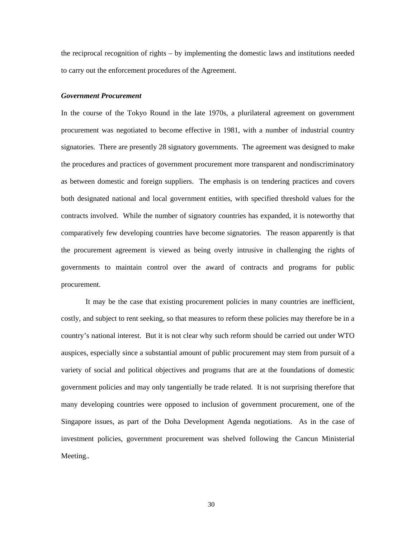the reciprocal recognition of rights – by implementing the domestic laws and institutions needed to carry out the enforcement procedures of the Agreement.

#### *Government Procurement*

In the course of the Tokyo Round in the late 1970s, a plurilateral agreement on government procurement was negotiated to become effective in 1981, with a number of industrial country signatories. There are presently 28 signatory governments. The agreement was designed to make the procedures and practices of government procurement more transparent and nondiscriminatory as between domestic and foreign suppliers. The emphasis is on tendering practices and covers both designated national and local government entities, with specified threshold values for the contracts involved. While the number of signatory countries has expanded, it is noteworthy that comparatively few developing countries have become signatories. The reason apparently is that the procurement agreement is viewed as being overly intrusive in challenging the rights of governments to maintain control over the award of contracts and programs for public procurement.

It may be the case that existing procurement policies in many countries are inefficient, costly, and subject to rent seeking, so that measures to reform these policies may therefore be in a country's national interest. But it is not clear why such reform should be carried out under WTO auspices, especially since a substantial amount of public procurement may stem from pursuit of a variety of social and political objectives and programs that are at the foundations of domestic government policies and may only tangentially be trade related. It is not surprising therefore that many developing countries were opposed to inclusion of government procurement, one of the Singapore issues, as part of the Doha Development Agenda negotiations. As in the case of investment policies, government procurement was shelved following the Cancun Ministerial Meeting.*.*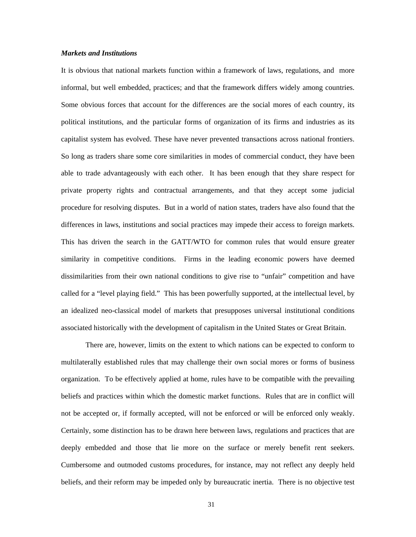#### *Markets and Institutions*

It is obvious that national markets function within a framework of laws, regulations, and more informal, but well embedded, practices; and that the framework differs widely among countries. Some obvious forces that account for the differences are the social mores of each country, its political institutions, and the particular forms of organization of its firms and industries as its capitalist system has evolved. These have never prevented transactions across national frontiers. So long as traders share some core similarities in modes of commercial conduct, they have been able to trade advantageously with each other. It has been enough that they share respect for private property rights and contractual arrangements, and that they accept some judicial procedure for resolving disputes. But in a world of nation states, traders have also found that the differences in laws, institutions and social practices may impede their access to foreign markets. This has driven the search in the GATT/WTO for common rules that would ensure greater similarity in competitive conditions. Firms in the leading economic powers have deemed dissimilarities from their own national conditions to give rise to "unfair" competition and have called for a "level playing field." This has been powerfully supported, at the intellectual level, by an idealized neo-classical model of markets that presupposes universal institutional conditions associated historically with the development of capitalism in the United States or Great Britain.

There are, however, limits on the extent to which nations can be expected to conform to multilaterally established rules that may challenge their own social mores or forms of business organization. To be effectively applied at home, rules have to be compatible with the prevailing beliefs and practices within which the domestic market functions. Rules that are in conflict will not be accepted or, if formally accepted, will not be enforced or will be enforced only weakly. Certainly, some distinction has to be drawn here between laws, regulations and practices that are deeply embedded and those that lie more on the surface or merely benefit rent seekers. Cumbersome and outmoded customs procedures, for instance, may not reflect any deeply held beliefs, and their reform may be impeded only by bureaucratic inertia. There is no objective test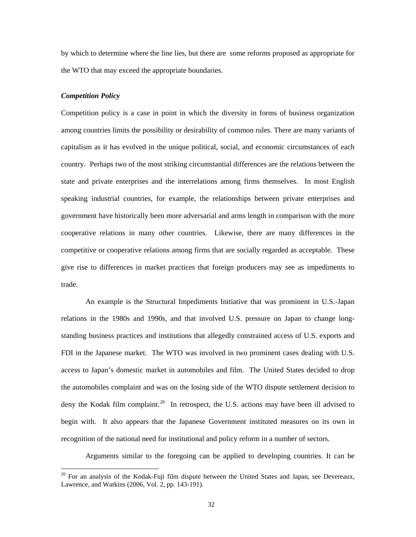by which to determine where the line lies, but there are some reforms proposed as appropriate for the WTO that may exceed the appropriate boundaries.

#### *Competition Policy*

 $\overline{a}$ 

Competition policy is a case in point in which the diversity in forms of business organization among countries limits the possibility or desirability of common rules. There are many variants of capitalism as it has evolved in the unique political, social, and economic circumstances of each country. Perhaps two of the most striking circumstantial differences are the relations between the state and private enterprises and the interrelations among firms themselves. In most English speaking industrial countries, for example, the relationships between private enterprises and government have historically been more adversarial and arms length in comparison with the more cooperative relations in many other countries. Likewise, there are many differences in the competitive or cooperative relations among firms that are socially regarded as acceptable. These give rise to differences in market practices that foreign producers may see as impediments to trade.

An example is the Structural Impediments Initiative that was prominent in U.S.-Japan relations in the 1980s and 1990s, and that involved U.S. pressure on Japan to change longstanding business practices and institutions that allegedly constrained access of U.S. exports and FDI in the Japanese market. The WTO was involved in two prominent cases dealing with U.S. access to Japan's domestic market in automobiles and film. The United States decided to drop the automobiles complaint and was on the losing side of the WTO dispute settlement decision to deny the Kodak film complaint.<sup>[20](#page-33-0)</sup> In retrospect, the U.S. actions may have been ill advised to begin with. It also appears that the Japanese Government instituted measures on its own in recognition of the national need for institutional and policy reform in a number of sectors.

Arguments similar to the foregoing can be applied to developing countries. It can be

<span id="page-33-0"></span> $20$  For an analysis of the Kodak-Fuji film dispute between the United States and Japan, see Devereaux, Lawrence, and Watkins (2006, Vol. 2, pp. 143-191).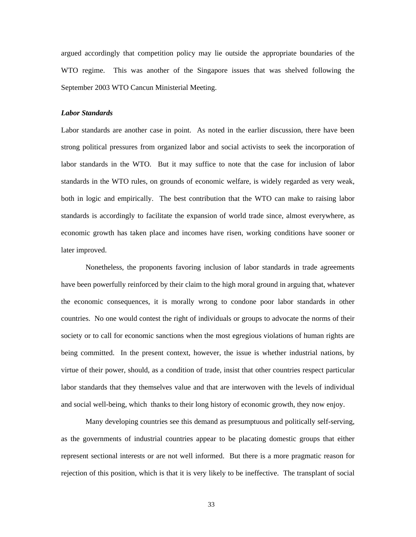argued accordingly that competition policy may lie outside the appropriate boundaries of the WTO regime. This was another of the Singapore issues that was shelved following the September 2003 WTO Cancun Ministerial Meeting.

#### *Labor Standards*

Labor standards are another case in point. As noted in the earlier discussion, there have been strong political pressures from organized labor and social activists to seek the incorporation of labor standards in the WTO. But it may suffice to note that the case for inclusion of labor standards in the WTO rules, on grounds of economic welfare, is widely regarded as very weak, both in logic and empirically. The best contribution that the WTO can make to raising labor standards is accordingly to facilitate the expansion of world trade since, almost everywhere, as economic growth has taken place and incomes have risen, working conditions have sooner or later improved.

Nonetheless, the proponents favoring inclusion of labor standards in trade agreements have been powerfully reinforced by their claim to the high moral ground in arguing that, whatever the economic consequences, it is morally wrong to condone poor labor standards in other countries. No one would contest the right of individuals or groups to advocate the norms of their society or to call for economic sanctions when the most egregious violations of human rights are being committed. In the present context, however, the issue is whether industrial nations, by virtue of their power, should, as a condition of trade, insist that other countries respect particular labor standards that they themselves value and that are interwoven with the levels of individual and social well-being, which thanks to their long history of economic growth, they now enjoy.

Many developing countries see this demand as presumptuous and politically self-serving, as the governments of industrial countries appear to be placating domestic groups that either represent sectional interests or are not well informed. But there is a more pragmatic reason for rejection of this position, which is that it is very likely to be ineffective. The transplant of social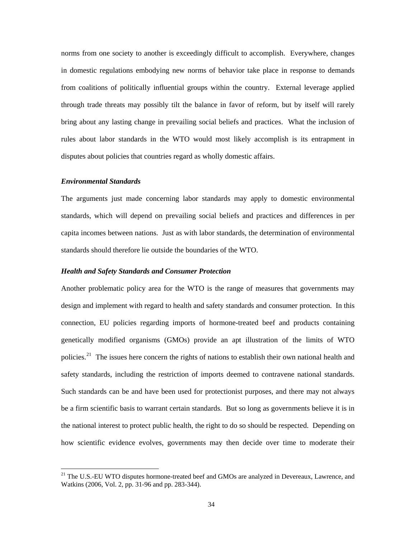norms from one society to another is exceedingly difficult to accomplish. Everywhere, changes in domestic regulations embodying new norms of behavior take place in response to demands from coalitions of politically influential groups within the country. External leverage applied through trade threats may possibly tilt the balance in favor of reform, but by itself will rarely bring about any lasting change in prevailing social beliefs and practices. What the inclusion of rules about labor standards in the WTO would most likely accomplish is its entrapment in disputes about policies that countries regard as wholly domestic affairs.

#### *Environmental Standards*

 $\overline{a}$ 

The arguments just made concerning labor standards may apply to domestic environmental standards, which will depend on prevailing social beliefs and practices and differences in per capita incomes between nations. Just as with labor standards, the determination of environmental standards should therefore lie outside the boundaries of the WTO.

#### *Health and Safety Standards and Consumer Protection*

Another problematic policy area for the WTO is the range of measures that governments may design and implement with regard to health and safety standards and consumer protection. In this connection, EU policies regarding imports of hormone-treated beef and products containing genetically modified organisms (GMOs) provide an apt illustration of the limits of WTO policies.[21](#page-35-0) The issues here concern the rights of nations to establish their own national health and safety standards, including the restriction of imports deemed to contravene national standards. Such standards can be and have been used for protectionist purposes, and there may not always be a firm scientific basis to warrant certain standards. But so long as governments believe it is in the national interest to protect public health, the right to do so should be respected. Depending on how scientific evidence evolves, governments may then decide over time to moderate their

<span id="page-35-0"></span><sup>&</sup>lt;sup>21</sup> The U.S.-EU WTO disputes hormone-treated beef and GMOs are analyzed in Devereaux, Lawrence, and Watkins (2006, Vol. 2, pp. 31-96 and pp. 283-344).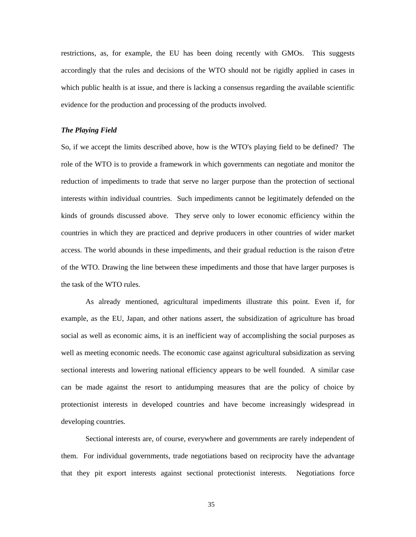restrictions, as, for example, the EU has been doing recently with GMOs. This suggests accordingly that the rules and decisions of the WTO should not be rigidly applied in cases in which public health is at issue, and there is lacking a consensus regarding the available scientific evidence for the production and processing of the products involved.

#### *The Playing Field*

So, if we accept the limits described above, how is the WTO's playing field to be defined? The role of the WTO is to provide a framework in which governments can negotiate and monitor the reduction of impediments to trade that serve no larger purpose than the protection of sectional interests within individual countries. Such impediments cannot be legitimately defended on the kinds of grounds discussed above. They serve only to lower economic efficiency within the countries in which they are practiced and deprive producers in other countries of wider market access. The world abounds in these impediments, and their gradual reduction is the raison d'etre of the WTO. Drawing the line between these impediments and those that have larger purposes is the task of the WTO rules.

As already mentioned, agricultural impediments illustrate this point. Even if, for example, as the EU, Japan, and other nations assert, the subsidization of agriculture has broad social as well as economic aims, it is an inefficient way of accomplishing the social purposes as well as meeting economic needs. The economic case against agricultural subsidization as serving sectional interests and lowering national efficiency appears to be well founded. A similar case can be made against the resort to antidumping measures that are the policy of choice by protectionist interests in developed countries and have become increasingly widespread in developing countries.

Sectional interests are, of course, everywhere and governments are rarely independent of them. For individual governments, trade negotiations based on reciprocity have the advantage that they pit export interests against sectional protectionist interests. Negotiations force

35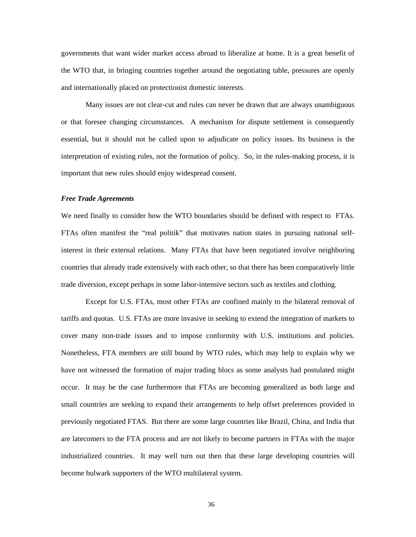governments that want wider market access abroad to liberalize at home. It is a great benefit of the WTO that, in bringing countries together around the negotiating table, pressures are openly and internationally placed on protectionist domestic interests.

Many issues are not clear-cut and rules can never be drawn that are always unambiguous or that foresee changing circumstances. A mechanism for dispute settlement is consequently essential, but it should not be called upon to adjudicate on policy issues. Its business is the interpretation of existing rules, not the formation of policy. So, in the rules-making process, it is important that new rules should enjoy widespread consent.

#### *Free Trade Agreements*

We need finally to consider how the WTO boundaries should be defined with respect to FTAs. FTAs often manifest the "real politik" that motivates nation states in pursuing national selfinterest in their external relations. Many FTAs that have been negotiated involve neighboring countries that already trade extensively with each other, so that there has been comparatively little trade diversion, except perhaps in some labor-intensive sectors such as textiles and clothing.

Except for U.S. FTAs, most other FTAs are confined mainly to the bilateral removal of tariffs and quotas. U.S. FTAs are more invasive in seeking to extend the integration of markets to cover many non-trade issues and to impose conformity with U.S. institutions and policies. Nonetheless, FTA members are still bound by WTO rules, which may help to explain why we have not witnessed the formation of major trading blocs as some analysts had postulated might occur. It may be the case furthermore that FTAs are becoming generalized as both large and small countries are seeking to expand their arrangements to help offset preferences provided in previously negotiated FTAS. But there are some large countries like Brazil, China, and India that are latecomers to the FTA process and are not likely to become partners in FTAs with the major industrialized countries. It may well turn out then that these large developing countries will become bulwark supporters of the WTO multilateral system.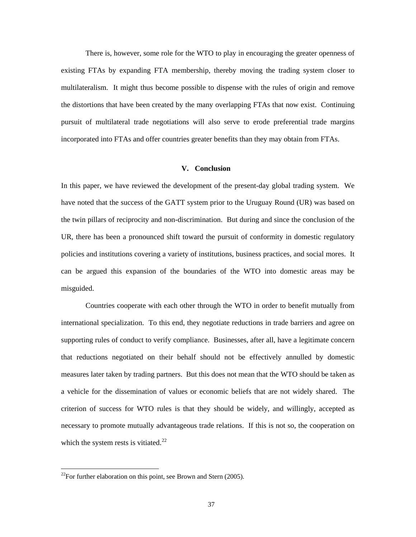There is, however, some role for the WTO to play in encouraging the greater openness of existing FTAs by expanding FTA membership, thereby moving the trading system closer to multilateralism. It might thus become possible to dispense with the rules of origin and remove the distortions that have been created by the many overlapping FTAs that now exist. Continuing pursuit of multilateral trade negotiations will also serve to erode preferential trade margins incorporated into FTAs and offer countries greater benefits than they may obtain from FTAs.

## **V. Conclusion**

In this paper, we have reviewed the development of the present-day global trading system. We have noted that the success of the GATT system prior to the Uruguay Round (UR) was based on the twin pillars of reciprocity and non-discrimination. But during and since the conclusion of the UR, there has been a pronounced shift toward the pursuit of conformity in domestic regulatory policies and institutions covering a variety of institutions, business practices, and social mores. It can be argued this expansion of the boundaries of the WTO into domestic areas may be misguided.

Countries cooperate with each other through the WTO in order to benefit mutually from international specialization. To this end, they negotiate reductions in trade barriers and agree on supporting rules of conduct to verify compliance. Businesses, after all, have a legitimate concern that reductions negotiated on their behalf should not be effectively annulled by domestic measures later taken by trading partners. But this does not mean that the WTO should be taken as a vehicle for the dissemination of values or economic beliefs that are not widely shared. The criterion of success for WTO rules is that they should be widely, and willingly, accepted as necessary to promote mutually advantageous trade relations. If this is not so, the cooperation on which the system rests is vitiated. $^{22}$  $^{22}$  $^{22}$ 

<span id="page-38-0"></span> $^{22}$ For further elaboration on this point, see Brown and Stern (2005).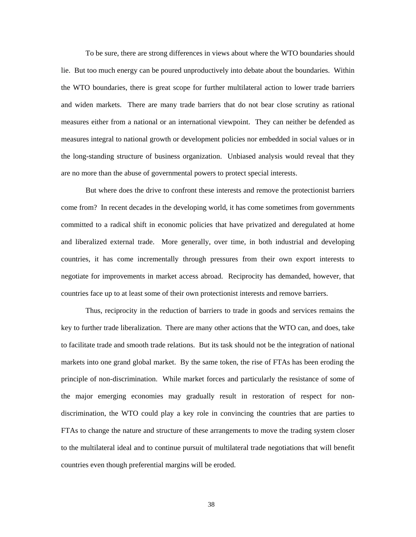To be sure, there are strong differences in views about where the WTO boundaries should lie. But too much energy can be poured unproductively into debate about the boundaries. Within the WTO boundaries, there is great scope for further multilateral action to lower trade barriers and widen markets. There are many trade barriers that do not bear close scrutiny as rational measures either from a national or an international viewpoint. They can neither be defended as measures integral to national growth or development policies nor embedded in social values or in the long-standing structure of business organization. Unbiased analysis would reveal that they are no more than the abuse of governmental powers to protect special interests.

But where does the drive to confront these interests and remove the protectionist barriers come from? In recent decades in the developing world, it has come sometimes from governments committed to a radical shift in economic policies that have privatized and deregulated at home and liberalized external trade. More generally, over time, in both industrial and developing countries, it has come incrementally through pressures from their own export interests to negotiate for improvements in market access abroad. Reciprocity has demanded, however, that countries face up to at least some of their own protectionist interests and remove barriers.

Thus, reciprocity in the reduction of barriers to trade in goods and services remains the key to further trade liberalization. There are many other actions that the WTO can, and does, take to facilitate trade and smooth trade relations. But its task should not be the integration of national markets into one grand global market. By the same token, the rise of FTAs has been eroding the principle of non-discrimination. While market forces and particularly the resistance of some of the major emerging economies may gradually result in restoration of respect for nondiscrimination, the WTO could play a key role in convincing the countries that are parties to FTAs to change the nature and structure of these arrangements to move the trading system closer to the multilateral ideal and to continue pursuit of multilateral trade negotiations that will benefit countries even though preferential margins will be eroded.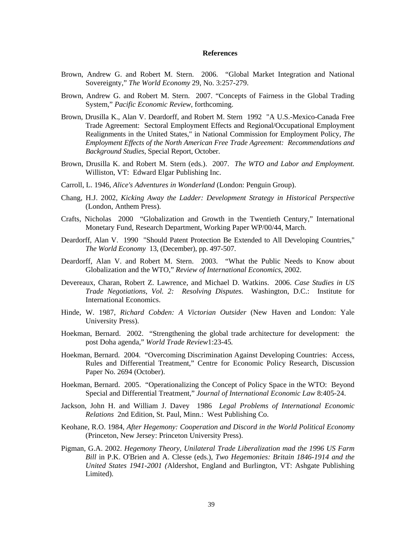#### **References**

- Brown, Andrew G. and Robert M. Stern. 2006. "Global Market Integration and National Sovereignty," *The World Economy* 29, No. 3:257-279.
- Brown, Andrew G. and Robert M. Stern. 2007. "Concepts of Fairness in the Global Trading System," *Pacific Economic Review,* forthcoming.
- Brown, Drusilla K., Alan V. Deardorff, and Robert M. Stern 1992 "A U.S.-Mexico-Canada Free Trade Agreement: Sectoral Employment Effects and Regional/Occupational Employment Realignments in the United States," in National Commission for Employment Policy, *The Employment Effects of the North American Free Trade Agreement: Recommendations and Background Studies*, Special Report, October.
- Brown, Drusilla K. and Robert M. Stern (eds.). 2007. *The WTO and Labor and Employment.*  Williston, VT: Edward Elgar Publishing Inc.
- Carroll, L. 1946, *Alice's Adventures in Wonderland* (London: Penguin Group).
- Chang, H.J. 2002, *Kicking Away the Ladder: Development Strategy in Historical Perspective* (London, Anthem Press).
- Crafts, Nicholas 2000 "Globalization and Growth in the Twentieth Century," International Monetary Fund, Research Department, Working Paper WP/00/44, March.
- Deardorff, Alan V. 1990 "Should Patent Protection Be Extended to All Developing Countries," *The World Economy* 13, (December), pp. 497-507.
- Deardorff, Alan V. and Robert M. Stern. 2003. "What the Public Needs to Know about Globalization and the WTO," *Review of International Economics*, 2002.
- Devereaux, Charan, Robert Z. Lawrence, and Michael D. Watkins. 2006. *Case Studies in US Trade Negotiations*, *Vol. 2: Resolving Disputes.* Washington, D.C.: Institute for International Economics.
- Hinde, W. 1987, *Richard Cobden: A Victorian Outsider* (New Haven and London: Yale University Press).
- Hoekman, Bernard. 2002. "Strengthening the global trade architecture for development: the post Doha agenda," *World Trade Review*1:23-45*.*
- Hoekman, Bernard. 2004. "Overcoming Discrimination Against Developing Countries: Access, Rules and Differential Treatment," Centre for Economic Policy Research, Discussion Paper No. 2694 (October).
- Hoekman, Bernard. 2005. "Operationalizing the Concept of Policy Space in the WTO: Beyond Special and Differential Treatment," *Journal of International Economic Law* 8:405-24.
- Jackson, John H. and William J. Davey 1986 *Legal Problems of International Economic Relations* 2nd Edition, St. Paul, Minn.: West Publishing Co.
- Keohane, R.O. 1984, *After Hegemony: Cooperation and Discord in the World Political Economy* (Princeton, New Jersey: Princeton University Press).
- Pigman, G.A. 2002. *Hegemony Theory, Unilateral Trade Liberalization mad the 1996 US Farm Bill* in P.K. O'Brien and A. Clesse (eds.), *Two Hegemonies: Britain 1846-1914 and the United States 1941-2001 (*Aldershot, England and Burlington, VT: Ashgate Publishing Limited).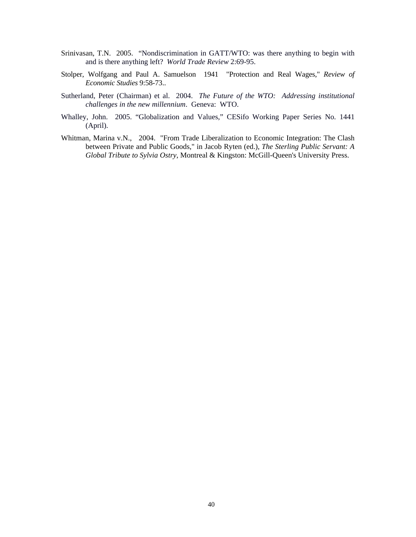- Srinivasan, T.N. 2005. "Nondiscrimination in GATT/WTO: was there anything to begin with and is there anything left? *World Trade Review* 2:69-95.
- Stolper, Wolfgang and Paul A. Samuelson 1941 "Protection and Real Wages," *Review of Economic Studies* 9:58-73..
- Sutherland, Peter (Chairman) et al. 2004. *The Future of the WTO: Addressing institutional challenges in the new millennium*. Geneva: WTO.
- Whalley, John. 2005. "Globalization and Values," CESifo Working Paper Series No. 1441 (April).
- Whitman, Marina v.N., 2004. "From Trade Liberalization to Economic Integration: The Clash between Private and Public Goods," in Jacob Ryten (ed.), *The Sterling Public Servant: A Global Tribute to Sylvia Ostry*, Montreal & Kingston: McGill-Queen's University Press.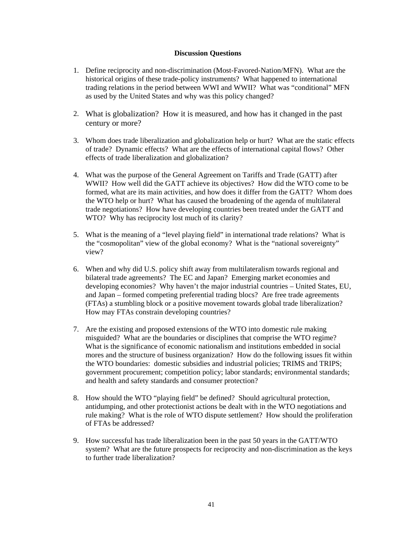## **Discussion Questions**

- 1. Define reciprocity and non-discrimination (Most-Favored-Nation/MFN). What are the historical origins of these trade-policy instruments? What happened to international trading relations in the period between WWI and WWII? What was "conditional" MFN as used by the United States and why was this policy changed?
- 2. What is globalization? How it is measured, and how has it changed in the past century or more?
- 3. Whom does trade liberalization and globalization help or hurt? What are the static effects of trade? Dynamic effects? What are the effects of international capital flows? Other effects of trade liberalization and globalization?
- 4. What was the purpose of the General Agreement on Tariffs and Trade (GATT) after WWII? How well did the GATT achieve its objectives? How did the WTO come to be formed, what are its main activities, and how does it differ from the GATT? Whom does the WTO help or hurt? What has caused the broadening of the agenda of multilateral trade negotiations? How have developing countries been treated under the GATT and WTO? Why has reciprocity lost much of its clarity?
- 5. What is the meaning of a "level playing field" in international trade relations? What is the "cosmopolitan" view of the global economy? What is the "national sovereignty" view?
- 6. When and why did U.S. policy shift away from multilateralism towards regional and bilateral trade agreements? The EC and Japan? Emerging market economies and developing economies? Why haven't the major industrial countries – United States, EU, and Japan – formed competing preferential trading blocs? Are free trade agreements (FTAs) a stumbling block or a positive movement towards global trade liberalization? How may FTAs constrain developing countries?
- 7. Are the existing and proposed extensions of the WTO into domestic rule making misguided? What are the boundaries or disciplines that comprise the WTO regime? What is the significance of economic nationalism and institutions embedded in social mores and the structure of business organization? How do the following issues fit within the WTO boundaries: domestic subsidies and industrial policies; TRIMS and TRIPS; government procurement; competition policy; labor standards; environmental standards; and health and safety standards and consumer protection?
- 8. How should the WTO "playing field" be defined? Should agricultural protection, antidumping, and other protectionist actions be dealt with in the WTO negotiations and rule making? What is the role of WTO dispute settlement? How should the proliferation of FTAs be addressed?
- 9. How successful has trade liberalization been in the past 50 years in the GATT/WTO system? What are the future prospects for reciprocity and non-discrimination as the keys to further trade liberalization?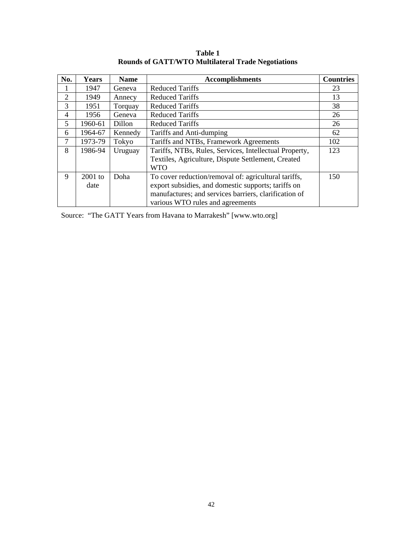| No.            | Years     | <b>Name</b> | <b>Accomplishments</b>                                 | <b>Countries</b> |
|----------------|-----------|-------------|--------------------------------------------------------|------------------|
|                | 1947      | Geneva      | <b>Reduced Tariffs</b>                                 | 23               |
| 2              | 1949      | Annecy      | <b>Reduced Tariffs</b>                                 | 13               |
| 3              | 1951      | Torquay     | <b>Reduced Tariffs</b>                                 | 38               |
| $\overline{4}$ | 1956      | Geneva      | <b>Reduced Tariffs</b>                                 | 26               |
| 5              | 1960-61   | Dillon      | <b>Reduced Tariffs</b>                                 | 26               |
| 6              | 1964-67   | Kennedy     | Tariffs and Anti-dumping                               | 62               |
| 7              | 1973-79   | Tokyo       | Tariffs and NTBs, Framework Agreements                 | 102              |
| 8              | 1986-94   | Uruguay     | Tariffs, NTBs, Rules, Services, Intellectual Property, | 123              |
|                |           |             | Textiles, Agriculture, Dispute Settlement, Created     |                  |
|                |           |             | <b>WTO</b>                                             |                  |
| 9              | $2001$ to | Doha        | To cover reduction/removal of: agricultural tariffs,   | 150              |
|                | date      |             | export subsidies, and domestic supports; tariffs on    |                  |
|                |           |             | manufactures; and services barriers, clarification of  |                  |
|                |           |             | various WTO rules and agreements                       |                  |

**Table 1 Rounds of GATT/WTO Multilateral Trade Negotiations** 

Source: "The GATT Years from Havana to Marrakesh" [www.wto.org]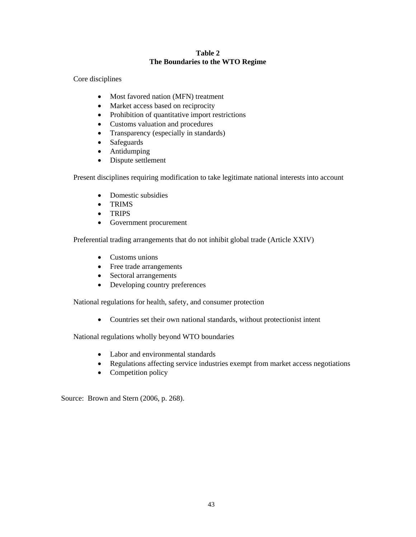## **Table 2 The Boundaries to the WTO Regime**

Core disciplines

- Most favored nation (MFN) treatment
- Market access based on reciprocity
- Prohibition of quantitative import restrictions
- Customs valuation and procedures
- Transparency (especially in standards)
- Safeguards
- Antidumping
- Dispute settlement

Present disciplines requiring modification to take legitimate national interests into account

- Domestic subsidies
- TRIMS
- TRIPS
- Government procurement

Preferential trading arrangements that do not inhibit global trade (Article XXIV)

- Customs unions
- Free trade arrangements
- Sectoral arrangements
- Developing country preferences

National regulations for health, safety, and consumer protection

• Countries set their own national standards, without protectionist intent

National regulations wholly beyond WTO boundaries

- Labor and environmental standards
- Regulations affecting service industries exempt from market access negotiations
- Competition policy

Source: Brown and Stern (2006, p. 268).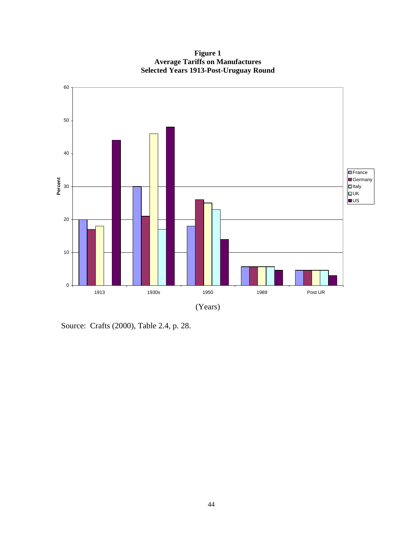$\overline{0}$ 10 20 30 40 50 60 1913 1930s 1950 1989 Post UR **Percent OF**rance Germany  $\Box$ Italy **DUK LUS** (Years)

**Figure 1 Average Tariffs on Manufactures Selected Years 1913-Post-Uruguay Round** 

Source: Crafts (2000), Table 2.4, p. 28.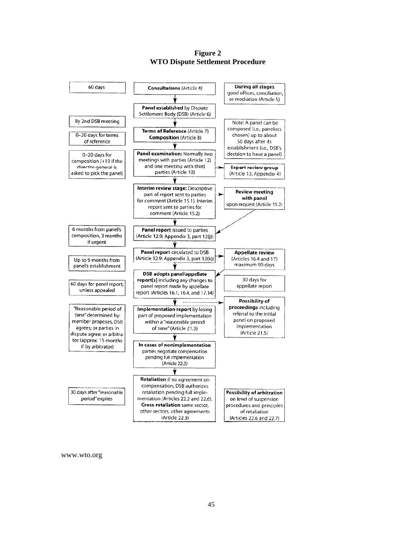

**Figure 2 WTO Dispute Settlement Procedure** 

www.wto.org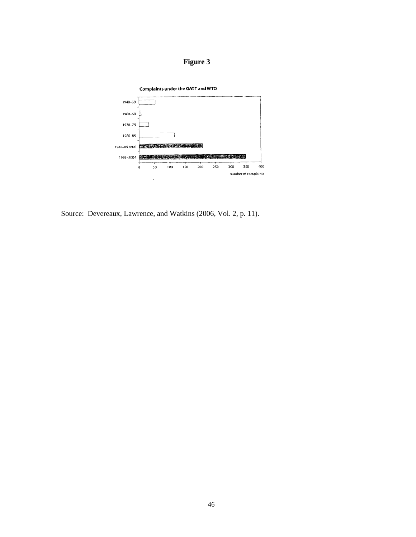



Source: Devereaux, Lawrence, and Watkins (2006, Vol. 2, p. 11).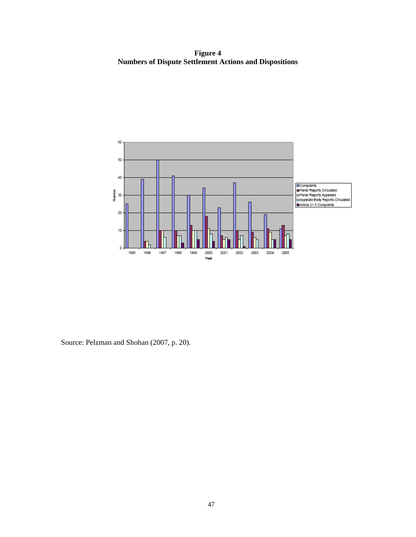**Figure 4 Numbers of Dispute Settlement Actions and Dispositions** 



Source: Pelzman and Shohan (2007, p. 20).